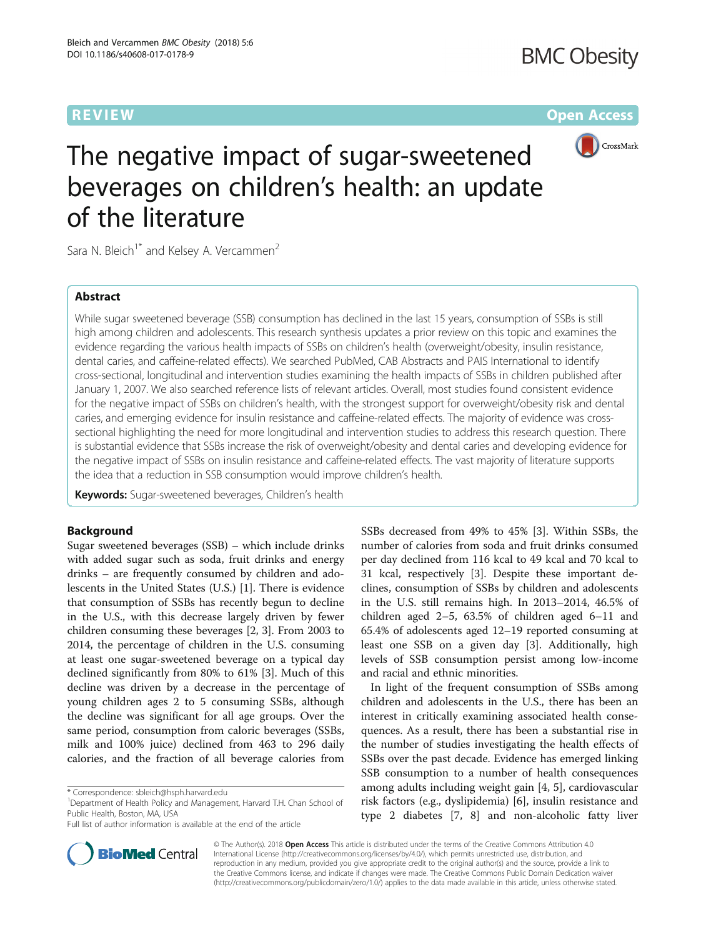# **REVIEW CONTROL** CONTROL CONTROL CONTROL CONTROL CONTROL CONTROL CONTROL CONTROL CONTROL CONTROL CONTROL CONTROL CONTROL CONTROL CONTROL CONTROL CONTROL CONTROL CONTROL CONTROL CONTROL CONTROL CONTROL CONTROL CONTROL CONTR



# The negative impact of sugar-sweetened beverages on children's health: an update of the literature

Sara N. Bleich<sup>1\*</sup> and Kelsey A. Vercammen<sup>2</sup>

# Abstract

While sugar sweetened beverage (SSB) consumption has declined in the last 15 years, consumption of SSBs is still high among children and adolescents. This research synthesis updates a prior review on this topic and examines the evidence regarding the various health impacts of SSBs on children's health (overweight/obesity, insulin resistance, dental caries, and caffeine-related effects). We searched PubMed, CAB Abstracts and PAIS International to identify cross-sectional, longitudinal and intervention studies examining the health impacts of SSBs in children published after January 1, 2007. We also searched reference lists of relevant articles. Overall, most studies found consistent evidence for the negative impact of SSBs on children's health, with the strongest support for overweight/obesity risk and dental caries, and emerging evidence for insulin resistance and caffeine-related effects. The majority of evidence was crosssectional highlighting the need for more longitudinal and intervention studies to address this research question. There is substantial evidence that SSBs increase the risk of overweight/obesity and dental caries and developing evidence for the negative impact of SSBs on insulin resistance and caffeine-related effects. The vast majority of literature supports the idea that a reduction in SSB consumption would improve children's health.

Keywords: Sugar-sweetened beverages, Children's health

# Background

Sugar sweetened beverages (SSB) – which include drinks with added sugar such as soda, fruit drinks and energy drinks – are frequently consumed by children and adolescents in the United States (U.S.) [\[1](#page-24-0)]. There is evidence that consumption of SSBs has recently begun to decline in the U.S., with this decrease largely driven by fewer children consuming these beverages [\[2, 3](#page-24-0)]. From 2003 to 2014, the percentage of children in the U.S. consuming at least one sugar-sweetened beverage on a typical day declined significantly from 80% to 61% [[3\]](#page-24-0). Much of this decline was driven by a decrease in the percentage of young children ages 2 to 5 consuming SSBs, although the decline was significant for all age groups. Over the same period, consumption from caloric beverages (SSBs, milk and 100% juice) declined from 463 to 296 daily calories, and the fraction of all beverage calories from

<sup>1</sup>Department of Health Policy and Management, Harvard T.H. Chan School of Public Health, Boston, MA, USA



In light of the frequent consumption of SSBs among children and adolescents in the U.S., there has been an interest in critically examining associated health consequences. As a result, there has been a substantial rise in the number of studies investigating the health effects of SSBs over the past decade. Evidence has emerged linking SSB consumption to a number of health consequences among adults including weight gain [[4, 5\]](#page-24-0), cardiovascular risk factors (e.g., dyslipidemia) [\[6\]](#page-24-0), insulin resistance and type 2 diabetes [\[7](#page-24-0), [8\]](#page-24-0) and non-alcoholic fatty liver



© The Author(s). 2018 **Open Access** This article is distributed under the terms of the Creative Commons Attribution 4.0 International License [\(http://creativecommons.org/licenses/by/4.0/](http://creativecommons.org/licenses/by/4.0/)), which permits unrestricted use, distribution, and reproduction in any medium, provided you give appropriate credit to the original author(s) and the source, provide a link to the Creative Commons license, and indicate if changes were made. The Creative Commons Public Domain Dedication waiver [\(http://creativecommons.org/publicdomain/zero/1.0/](http://creativecommons.org/publicdomain/zero/1.0/)) applies to the data made available in this article, unless otherwise stated.

<sup>\*</sup> Correspondence: [sbleich@hsph.harvard.edu](mailto:sbleich@hsph.harvard.edu) <sup>1</sup>

Full list of author information is available at the end of the article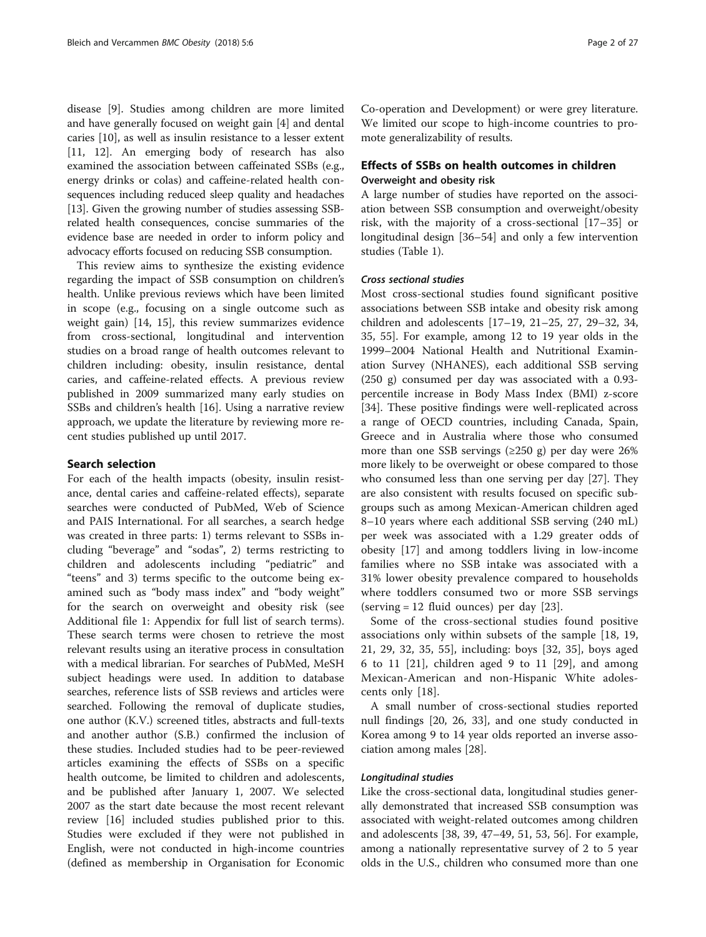disease [[9\]](#page-24-0). Studies among children are more limited and have generally focused on weight gain [\[4](#page-24-0)] and dental caries [\[10](#page-24-0)], as well as insulin resistance to a lesser extent [[11, 12](#page-24-0)]. An emerging body of research has also examined the association between caffeinated SSBs (e.g., energy drinks or colas) and caffeine-related health consequences including reduced sleep quality and headaches [[13](#page-24-0)]. Given the growing number of studies assessing SSBrelated health consequences, concise summaries of the evidence base are needed in order to inform policy and advocacy efforts focused on reducing SSB consumption.

This review aims to synthesize the existing evidence regarding the impact of SSB consumption on children's health. Unlike previous reviews which have been limited in scope (e.g., focusing on a single outcome such as weight gain) [[14, 15](#page-24-0)], this review summarizes evidence from cross-sectional, longitudinal and intervention studies on a broad range of health outcomes relevant to children including: obesity, insulin resistance, dental caries, and caffeine-related effects. A previous review published in 2009 summarized many early studies on SSBs and children's health [[16](#page-24-0)]. Using a narrative review approach, we update the literature by reviewing more recent studies published up until 2017.

# Search selection

For each of the health impacts (obesity, insulin resistance, dental caries and caffeine-related effects), separate searches were conducted of PubMed, Web of Science and PAIS International. For all searches, a search hedge was created in three parts: 1) terms relevant to SSBs including "beverage" and "sodas", 2) terms restricting to children and adolescents including "pediatric" and "teens" and 3) terms specific to the outcome being examined such as "body mass index" and "body weight" for the search on overweight and obesity risk (see Additional file [1](#page-23-0): Appendix for full list of search terms). These search terms were chosen to retrieve the most relevant results using an iterative process in consultation with a medical librarian. For searches of PubMed, MeSH subject headings were used. In addition to database searches, reference lists of SSB reviews and articles were searched. Following the removal of duplicate studies, one author (K.V.) screened titles, abstracts and full-texts and another author (S.B.) confirmed the inclusion of these studies. Included studies had to be peer-reviewed articles examining the effects of SSBs on a specific health outcome, be limited to children and adolescents, and be published after January 1, 2007. We selected 2007 as the start date because the most recent relevant review [\[16](#page-24-0)] included studies published prior to this. Studies were excluded if they were not published in English, were not conducted in high-income countries (defined as membership in Organisation for Economic Co-operation and Development) or were grey literature. We limited our scope to high-income countries to promote generalizability of results.

# Effects of SSBs on health outcomes in children Overweight and obesity risk

A large number of studies have reported on the association between SSB consumption and overweight/obesity risk, with the majority of a cross-sectional [\[17](#page-24-0)–[35\]](#page-24-0) or longitudinal design [\[36](#page-24-0)–[54\]](#page-25-0) and only a few intervention studies (Table [1](#page-2-0)).

# Cross sectional studies

Most cross-sectional studies found significant positive associations between SSB intake and obesity risk among children and adolescents [\[17](#page-24-0)–[19, 21](#page-24-0)–[25, 27, 29](#page-24-0)–[32](#page-24-0), [34](#page-24-0), [35,](#page-24-0) [55\]](#page-25-0). For example, among 12 to 19 year olds in the 1999–2004 National Health and Nutritional Examination Survey (NHANES), each additional SSB serving (250 g) consumed per day was associated with a 0.93 percentile increase in Body Mass Index (BMI) z-score [[34\]](#page-24-0). These positive findings were well-replicated across a range of OECD countries, including Canada, Spain, Greece and in Australia where those who consumed more than one SSB servings ( $\geq$ 250 g) per day were 26% more likely to be overweight or obese compared to those who consumed less than one serving per day [\[27](#page-24-0)]. They are also consistent with results focused on specific subgroups such as among Mexican-American children aged 8–10 years where each additional SSB serving (240 mL) per week was associated with a 1.29 greater odds of obesity [\[17](#page-24-0)] and among toddlers living in low-income families where no SSB intake was associated with a 31% lower obesity prevalence compared to households where toddlers consumed two or more SSB servings (serving = 12 fluid ounces) per day [[23\]](#page-24-0).

Some of the cross-sectional studies found positive associations only within subsets of the sample [\[18](#page-24-0), [19](#page-24-0), [21, 29](#page-24-0), [32](#page-24-0), [35,](#page-24-0) [55](#page-25-0)], including: boys [[32, 35](#page-24-0)], boys aged 6 to 11 [[21\]](#page-24-0), children aged 9 to 11 [[29](#page-24-0)], and among Mexican-American and non-Hispanic White adolescents only [\[18](#page-24-0)].

A small number of cross-sectional studies reported null findings [\[20](#page-24-0), [26, 33](#page-24-0)], and one study conducted in Korea among 9 to 14 year olds reported an inverse association among males [\[28](#page-24-0)].

# Longitudinal studies

Like the cross-sectional data, longitudinal studies generally demonstrated that increased SSB consumption was associated with weight-related outcomes among children and adolescents [[38, 39,](#page-24-0) [47](#page-25-0)–[49, 51, 53, 56\]](#page-25-0). For example, among a nationally representative survey of 2 to 5 year olds in the U.S., children who consumed more than one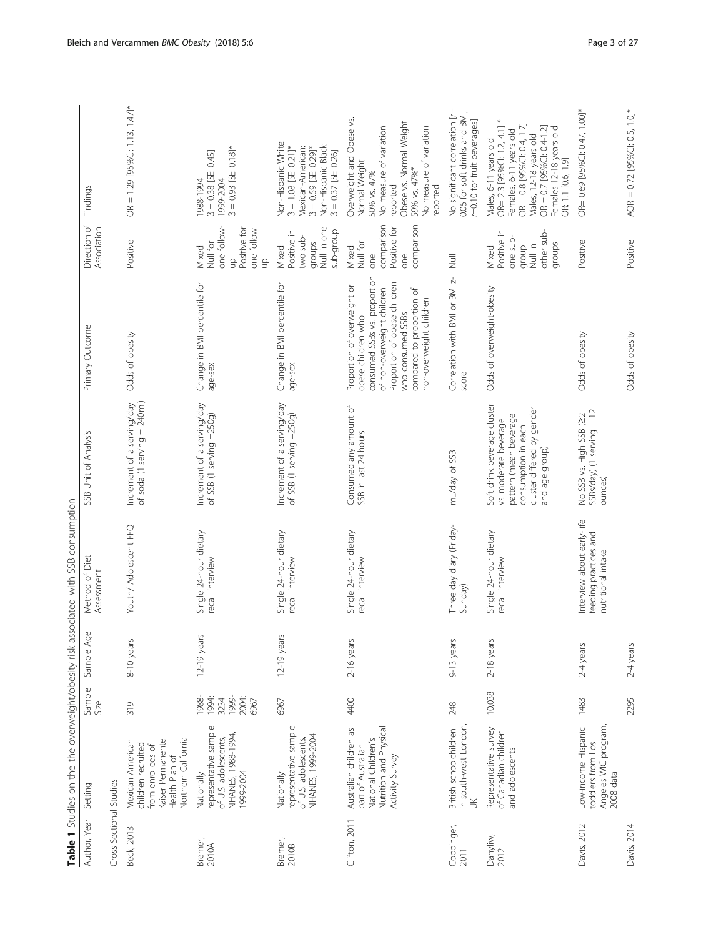<span id="page-2-0"></span>

| Author, Year            | Setting                                                                                                                   | Sample<br>Size                                   | Sample Age    | Method of Diet<br>Assessment                                              | SSB Unit of Analysis                                                                                                                                  | Primary Outcome                                                                                                                                                                                                              | Direction of<br>Association                                                  | Findings                                                                                                                                                                                                                   |
|-------------------------|---------------------------------------------------------------------------------------------------------------------------|--------------------------------------------------|---------------|---------------------------------------------------------------------------|-------------------------------------------------------------------------------------------------------------------------------------------------------|------------------------------------------------------------------------------------------------------------------------------------------------------------------------------------------------------------------------------|------------------------------------------------------------------------------|----------------------------------------------------------------------------------------------------------------------------------------------------------------------------------------------------------------------------|
| Cross-Sectional Studies |                                                                                                                           |                                                  |               |                                                                           |                                                                                                                                                       |                                                                                                                                                                                                                              |                                                                              |                                                                                                                                                                                                                            |
| Beck, 2013              | Northern California<br>Kaiser Permanente<br>Mexican American<br>children recruited<br>from enrollees of<br>Health Plan of | 319                                              | 8-10 years    | Youth/ Adolescent FFQ                                                     | of soda (1 serving = 240ml)<br>Increment of a serving/day                                                                                             | Odds of obesity                                                                                                                                                                                                              | Positive                                                                     | $OR = 1.29$ [95%CI: 1.13, 1.47]*                                                                                                                                                                                           |
| Bremer,<br>2010A        | representative sample<br>NHANES, 1988-1994,<br>of U.S. adolescents,<br>1999-2004<br>Nationally                            | 1988-<br>1999-<br>1994:<br>2004:<br>3234<br>6967 | 12-19 years   | Single 24-hour dietary<br>recall interview                                | Increment of a serving/day<br>of SSB (1 serving =250g)                                                                                                | Change in BMI percentile for<br>age-sex                                                                                                                                                                                      | one follow-<br>one follow-<br>Positive for<br>Null for<br>Mixed<br>qu<br>9   | $\beta = 0.93$ [SE: 0.18]*<br>$\beta = 0.38$ [SE: 0.45]<br>1999-2004<br>1988-1994                                                                                                                                          |
| Bremer,<br>2010B        | representative sample<br>NHANES, 1999-2004<br>of U.S. adolescents,<br>Nationally                                          | 6967                                             | $12-19$ years | Single 24-hour dietary<br>recall interview                                | Increment of a serving/day<br>of SSB $(1$ serving $=250g$ )                                                                                           | Change in BMI percentile for<br>age-sex                                                                                                                                                                                      | Null in one<br>dnoib-qns<br>Positive in<br>two sub-<br>groups<br>Mixed       | Non-Hispanic White:<br>Non-Hispanic Black:<br>$\beta = 1.08$ [SE: 0.21]*<br>Mexican-American:<br>$\beta = 0.59$ [SE: 0.29]*<br>$\beta = 0.37$ [SE: 0.26]                                                                   |
| Clifton, 2011           | Nutrition and Physical<br>Australian children as<br>National Children's<br>part of Australian<br>Activity Survey          | 4400                                             | 2-16 years    | Single 24-hour dietary<br>recall interview                                | Consumed any amount of<br>SSB in last 24 hours                                                                                                        | consumed SSBs vs. proportion<br>Proportion of obese children<br>Proportion of overweight or<br>of non-overweight children<br>compared to proportion of<br>non-overweight children<br>who consumed SSBs<br>obese children who | comparison<br>comparison<br>Positive for<br>Null for<br>Mixed<br>one<br>one  | Overweight and Obese vs.<br>Obese vs. Normal Weight<br>No measure of variation<br>No measure of variation<br>Normal Weight<br>59% vs. 47%*<br>50% vs. 47%<br>reported<br>reported                                          |
| Coppinger,<br>2011      | in south-west London,<br>British schoolchildren<br>š                                                                      | 248                                              | 9-13 years    | Three day diary (Friday-<br>Sunday)                                       | mL/day of SSB                                                                                                                                         | Correlation with BMI or BMI z-<br>score                                                                                                                                                                                      | $\overline{z}$                                                               | No significant correlation [r=<br>0.05 for soft drinks and BMI,<br>r=0.10 for fruit beverages]                                                                                                                             |
| Danyliw,<br>2012        | Representative survey<br>of Canadian children<br>and adolescents                                                          | 10,038                                           | 2-18 years    | Single 24-hour dietary<br>recall interview                                | Soft drink beverage cluster<br>cluster differed by gender<br>pattern (mean beverage<br>vs. moderate beverage<br>consumption in each<br>and age group) | Odds of overweight-obesity                                                                                                                                                                                                   | Positive in<br>other sub-<br>one sub-<br>groups<br>Null in<br>qroup<br>Mixed | OR= 2.3 [95%Cl: 1.2, 4.1] *<br>OR = 0.8 [95%CI: 0.4, 1.7]<br>OR = $0.7$ [95%CI: $0.4-1.2$ ]<br>Females 12-18 years old<br>Females, 6-11 years old<br>Males, 12-18 years old<br>Males, 6-11 years old<br>OR: 1.1 [0.6, 1.9] |
| Davis, 2012             | Angeles WIC program,<br>Low-income Hispanic<br>toddlers from Los<br>$2008$ data                                           | 1483                                             | 2-4 years     | Interview about early-life<br>feeding practices and<br>nutritional intake | $SSBs$ /day) (1 serving = 12<br>No SSB vs. High SSB (22<br>ounces)                                                                                    | Odds of obesity                                                                                                                                                                                                              | Positive                                                                     | OR= 0.69 [95%Cl: 0.47, 1.00]*                                                                                                                                                                                              |
| Davis, 2014             |                                                                                                                           | 2295                                             | $2-4$ years   |                                                                           |                                                                                                                                                       | Odds of obesity                                                                                                                                                                                                              | Positive                                                                     | AOR = $0.72$ [95%Cl: 0.5, 1.0]*                                                                                                                                                                                            |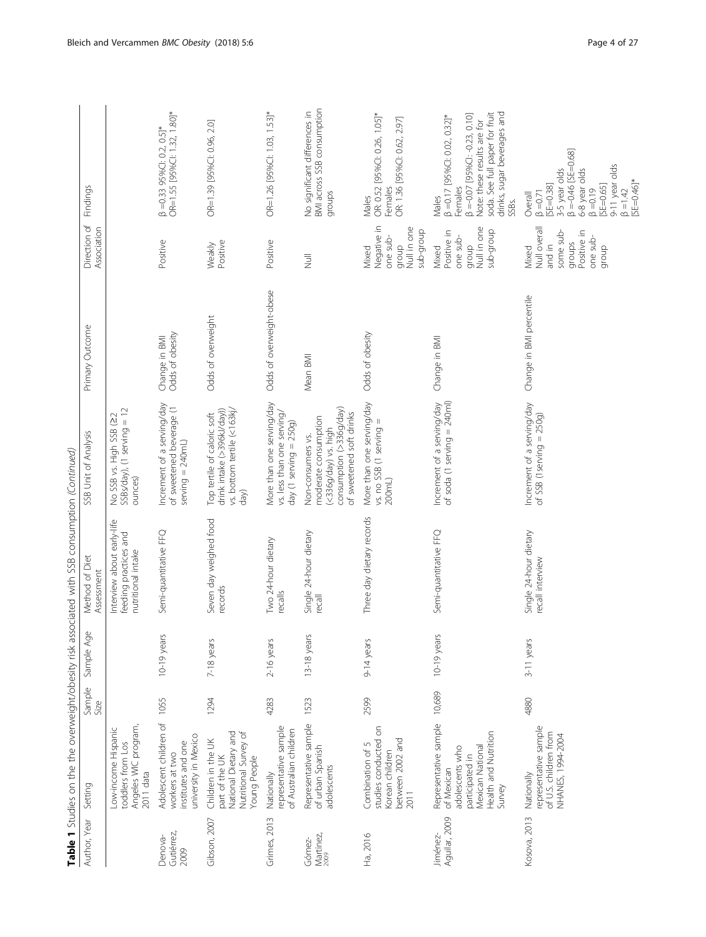|                               |                                                                                                                                        | 5<br>コフランシ     | こくこうしょう       | Dinhinosi<br><b>NPIRAC</b>                                                |                                                                                                                          |                                  |                                                                                            |                                                                                                                                                                                                            |
|-------------------------------|----------------------------------------------------------------------------------------------------------------------------------------|----------------|---------------|---------------------------------------------------------------------------|--------------------------------------------------------------------------------------------------------------------------|----------------------------------|--------------------------------------------------------------------------------------------|------------------------------------------------------------------------------------------------------------------------------------------------------------------------------------------------------------|
| Author, Year                  | Setting                                                                                                                                | Sample<br>Size | Sample Age    | Method of Diet<br>Assessment                                              | SSB Unit of Analysis                                                                                                     | Primary Outcome                  | Direction of<br>Association                                                                | Findings                                                                                                                                                                                                   |
|                               | Angeles WIC program,<br>Low-income Hispanic<br>toddlers from Los<br>2011 data                                                          |                |               | Interview about early-life<br>feeding practices and<br>nutritional intake | SSBs/day), (1 serving = 12<br>No SSB vs. High SSB (22<br>ounces)                                                         |                                  |                                                                                            |                                                                                                                                                                                                            |
| Gutiérrez,<br>Denova-<br>2009 | Adolescent children of<br>university in Mexico<br>institutes and one<br>workers at two                                                 | 1055           | 10-19 years   | Semi-quantitative FFQ                                                     | Increment of a serving/day<br>of sweetened beverage (1<br>$serving = 240mL$                                              | Odds of obesity<br>Change in BMI | Positive                                                                                   | OR=1.55 [95%CI: 1.32, 1.80]*<br>$\beta = 0.33$ 95%CI: 0.2, 0.5]*                                                                                                                                           |
| Gibson, 2007                  | Nutritional Survey of<br>National Dietary and<br>Children in the UK<br>Young People<br>part of the UK                                  | 1294           | 7-18 years    | Seven day weighed food<br>records                                         | vs. bottom tertile (<163kj/<br>drink intake (>396kJ/day))<br>Top tertile of caloric soft<br>day)                         | Odds of overweight               | Positive<br>Weakly                                                                         | OR=1.39 [95%CI: 0.96, 2.0]                                                                                                                                                                                 |
| Grimes, 2013                  | representative sample<br>of Australian children<br>Nationally                                                                          | 4283           | $2-16$ years  | Two 24-hour dietary<br>recalls                                            | More than one serving/day<br>vs. less than one serving/<br>day $(1$ serving = $250g$ )                                   | Odds of overweight-obese         | Positive                                                                                   | OR=1.26 [95%Cl: 1.03, 1.53]*                                                                                                                                                                               |
| Martinez,<br>2009<br>Gómez-   | Representative sample<br>of urban Spanish<br>adolescents                                                                               | 1523           | $13-18$ years | Single 24-hour dietary<br>recall                                          | consumption (>336g/day)<br>of sweetened soft drinks<br>moderate consumption<br>(<336q/day) vs. high<br>Non-consumers vs. | Mean BMI                         | $\overline{z}$                                                                             | BMI across SSB consumption<br>No significant differences in<br>groups                                                                                                                                      |
| Ha, 2016                      | studies conducted on<br>between 2002 and<br>Combination of 5<br>Korean children<br>2011                                                | 2599           | 9-14 years    | Three day dietary records                                                 | More than one serving/day<br>vs. no SSB (1 serving =<br>200mL)                                                           | Odds of obesity                  | Negative in<br>group<br>Null in one<br>quorb-quos<br>one sub-<br>Mixed                     | OR: 0.52 [95%CI: 0.26, 1.05]*<br>OR: 1.36 [95%CI: 0.62, 2.97]<br>Females<br>Males                                                                                                                          |
| Aguilar, 2009<br>Jiménez-     | Representative sample 10,689<br>Health and Nutrition<br>Mexican National<br>adolescents who<br>participated in<br>of Mexican<br>Survey |                | $10-19$ years | Semi-quantitative FFQ                                                     | of soda (1 serving = 240ml)<br>Increment of a serving/day                                                                | Change in BMI                    | Null in one<br>quorb-quos<br>Positive in<br>one sub-<br>qroup<br>Mixed                     | soda. See full paper for fruit<br>drinks, sugar beverages and<br>$\beta = 0.07$ [95%CI: -0.23, 0.10]<br>$\beta$ =0.17 [95%CI: 0.02, 0.32]*<br>Note: these results are for<br>Females<br>Males<br>SSBs.     |
| Kosova, 2013                  | representative sample<br>of U.S. children from<br>NHANES, 1994-2004<br>Nationally                                                      | 4880           | 3-11 years    | Single 24-hour dietary<br>recall interview                                | Increment of a serving/day<br>of SSB (1 serving $= 250g$ )                                                               | Change in BMI percentile         | Null overall<br>some sub-<br>Positive in<br>one sub-<br>qroups<br>and in<br>group<br>Mixed | $\beta = -0.46$ [SE=0.68]<br>9-11 year olds<br>3-5 year olds<br>6-8 year olds<br>$SF = 0.46$ <sup>*</sup><br>$[SE = 0.38]$<br>$[SE=0.65]$<br>$\beta = 0.19$<br>$\beta = 1.42$<br>$\beta = 0.71$<br>Overall |

Table 1 Studies on the the overweight/obesity risk associated with SSB consumption (Continued) Table 1 Studies on the the overweight/obesity risk associated with SSB consumption (Continued)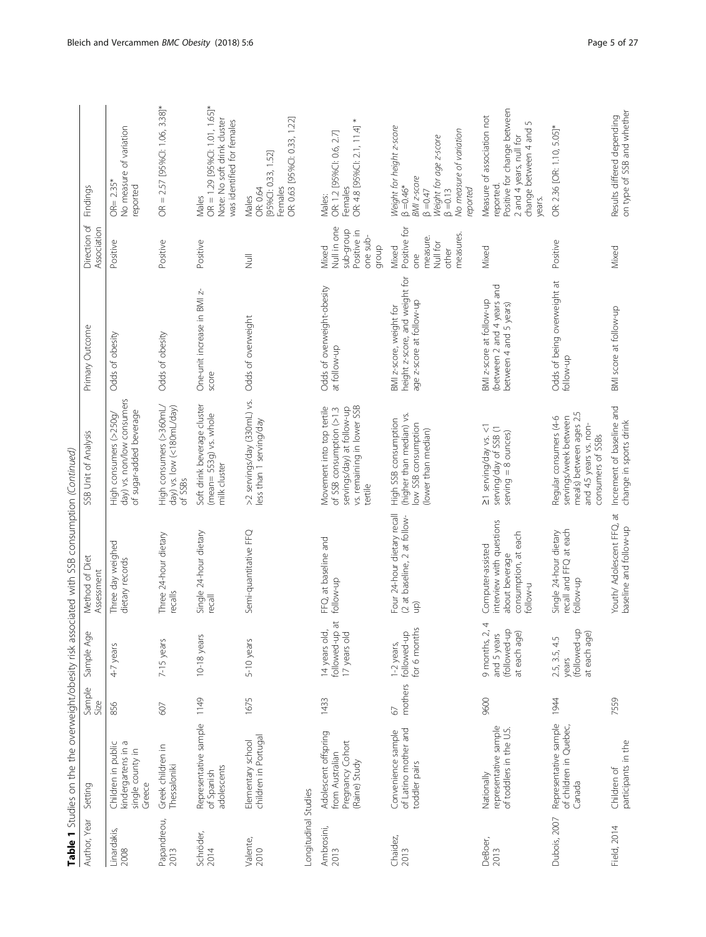|                                          |                                                                              |                          |                                                                            | Table 1 Studies on the the overweight/obesity risk associated with SSB consumption (Continued)      |                                                                                                                              |                                                                                       |                                                                                                 |                                                                                                                                                                  |
|------------------------------------------|------------------------------------------------------------------------------|--------------------------|----------------------------------------------------------------------------|-----------------------------------------------------------------------------------------------------|------------------------------------------------------------------------------------------------------------------------------|---------------------------------------------------------------------------------------|-------------------------------------------------------------------------------------------------|------------------------------------------------------------------------------------------------------------------------------------------------------------------|
| Author, Year                             | Setting                                                                      | Sample<br>Size           | Sample Age                                                                 | Method of Diet<br>Assessment                                                                        | SSB Unit of Analysis                                                                                                         | Primary Outcome                                                                       | Direction of<br>Association                                                                     | Findings                                                                                                                                                         |
| Linardakis,<br>2008                      | kindergartens in a<br>Children in public<br>single county in<br>Greece       | 856                      | 4-7 years                                                                  | Three day weighed<br>dietary records                                                                | day) vs. non/low consumers<br>of sugar-added beverage<br>High consumers (>250g/                                              | Odds of obesity                                                                       | Positive                                                                                        | No measure of variation<br>$OR = 2.35*$<br>reported                                                                                                              |
| Papandreou,<br>2013                      | Greek children in<br>Thessaloniki                                            | 607                      | 7-15 years                                                                 | Three 24-hour dietary<br>recalls                                                                    | High consumers (>360mL/<br>day) vs. low (<180mL/day)<br>of SSBs                                                              | Odds of obesity                                                                       | Positive                                                                                        | $OR = 2.57$ [95%Cl: 1.06, 3.38]*                                                                                                                                 |
| Schröder,<br>2014                        | Representative sample<br>adolescents<br>of Spanish                           | 1149                     | $10-18$ years                                                              | Single 24-hour dietary<br>recall                                                                    | Soft drink beverage cluster<br>(mean= 553g) vs. whole<br>milk cluster                                                        | One-unit increase in BMI z-<br>score                                                  | Positive                                                                                        | $OR = 1.29$ [95%Cl: 1.01, 1.65]*<br>Note: No soft drink cluster<br>was identified for females<br>Males                                                           |
| Longitudinal Studies<br>Valente,<br>2010 | children in Portugal<br>Elementary school                                    | 1675                     | 5-10 years                                                                 | Semi-quantitative FFQ                                                                               | >2 servings/day (330mL) vs.<br>less than 1 serving/day                                                                       | Odds of overweight                                                                    | $\overline{z}$                                                                                  | OR: 0.63 [95%CI: 0.33, 1.22]<br>[95%CI: 0.33, 1.52]<br>Females<br>OR: 0.64<br>Males                                                                              |
| Ambrosini,<br>2013                       | Adolescent offspring<br>Pregnancy Cohort<br>from Australian<br>(Raine) Study | 1433                     | followed-up at<br>14 years old,<br>17 years old                            | FFQ, at baseline and<br>follow-up                                                                   | vs. remaining in lower SSB<br>Movement into top tertile<br>servings/day) at follow-up<br>of SSB consumption (>1.3<br>tertile | Odds of overweight-obesity<br>at follow-up                                            | Null in one<br>dnoib-qns<br>Positive in<br>one sub-<br>group<br>Mixed                           | OR: 4.8 [95%CI: 2.1, 11.4] *<br>OR: 1.2 [95%CI: 0.6, 2.7]<br>Females<br>Males:                                                                                   |
| Chaidez,<br>2013                         | of Latino mother and<br>Convenience sample<br>toddler pairs                  | mothers<br>$\mathcal{O}$ | or 6 months<br>followed-up<br>1-2 years,                                   | Four 24-hour dietary recall<br>(2 at baseline, 2 at follow-<br>(qn                                  | (higher than median) vs.<br>High SSB consumption<br>low SSB consumption<br>(lower than median)                               | height z-score, and weight for<br>age z-score at follow-up<br>BMI z-score, weight for | $\tilde{\mathbf{p}}$<br>measures<br>measure.<br>Positive t<br>Null for<br>Mixed<br>other<br>ene | Weight for height z-score<br>No measure of variation<br>Weight for age z-score<br>BMI z-score<br>$\beta = 0.46*$<br>reported<br>$\beta = 0.13$<br>$\beta = 0.47$ |
| DeBoer,<br>2013                          | representative sample<br>of toddlers in the U.S.<br>Nationally               | 9600                     | 9 months, 2, 4<br>and 5 years<br>at each age)<br>at each age)<br>9 months, | interview with questions<br>consumption, at each<br>Computer-assisted<br>about beverage<br>follow-u | ≥1 serving/day vs. <1<br>serving/day of SSB (1<br>$serving = 8$ ounces)                                                      | (between 2 and 4 years and<br>BMI z-score at follow-up<br>between 4 and 5 years)      | Mixed                                                                                           | Positive for change between<br>Measure of association not<br>S<br>change between 4 and<br>2 and 4 years, null for<br>reported<br>years.                          |
| Dubois, 2007                             | Representative sample<br>of children in Quebec,<br>Canada                    | 1944                     | Q<br>at each age)<br>2.5, 3.5, 4.5<br>(followed-u<br>years                 | recall and FFQ at each<br>Single 24-hour dietary<br>follow-up                                       | meals) between ages 2.5<br>servings/week between<br>Regular consumers (4-6<br>and 4.5 years vs. non-<br>consumers of SSBs    | Odds of being overweight at<br>follow-up                                              | Positive                                                                                        | OR: 2.36 [OR: 1.10, 5.05]*                                                                                                                                       |
| Field, 2014                              | participants in the<br>Children of                                           | 7559                     |                                                                            | Youth/ Adolescent FFQ, at<br>baseline and follow-up                                                 | Increment of baseline and<br>change in sports drink                                                                          | BMI score at follow-up                                                                | Mixed                                                                                           | on type of SSB and whether<br>Results differed depending                                                                                                         |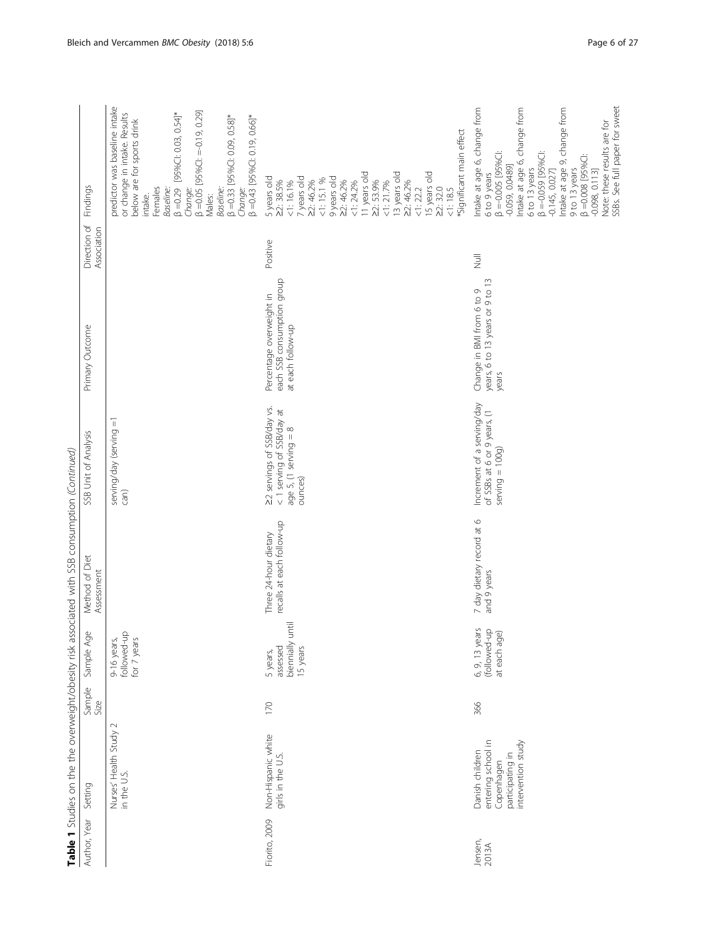|                  |                                                                                               |                |                                                        | Table 1 Studies on the the overweight/obesity risk associated with SSB consumption (Continued) |                                                                                                  |                                                                             |                             |                                                                                                                                                                                                                                                                                                                                                               |
|------------------|-----------------------------------------------------------------------------------------------|----------------|--------------------------------------------------------|------------------------------------------------------------------------------------------------|--------------------------------------------------------------------------------------------------|-----------------------------------------------------------------------------|-----------------------------|---------------------------------------------------------------------------------------------------------------------------------------------------------------------------------------------------------------------------------------------------------------------------------------------------------------------------------------------------------------|
| Author, Year     | Setting                                                                                       | Sample<br>Size | Sample Age                                             | Method of Diet<br>Assessment                                                                   | SSB Unit of Analysis                                                                             | Primary Outcome                                                             | Direction of<br>Association | Findings                                                                                                                                                                                                                                                                                                                                                      |
|                  | $\sim$<br>Nurses' Health Study<br>in the U.S.                                                 |                | followed-up<br>for 7 years<br>9-16 years,              |                                                                                                | $\overline{\mathbb{I}}$<br>serving/day (serving<br>can)                                          |                                                                             |                             | predictor was baseline intake<br>$\beta = 0.05$ [95%CI: $=-0.19$ , 0.29]<br>or change in intake. Results<br>[95%Cl: 0.03, 0.54]*<br>$\beta$ =0.33 [95%CI: 0.09, 0.58]*<br>$\beta = 0.43$ [95%CI: 0.19, 0.66]*<br>below are for sports drink<br>$\beta = 0.29$<br>Females<br>Baseline:<br>Baseline:<br>Change:<br>Change:<br>Males:<br>intake.                 |
| Fiorito, 2009    | Non-Hispanic white<br>girls in the U.S.                                                       | 170            | ₹<br>biennially un<br>assessed<br>15 years<br>5 years, | recalls at each follow-up<br>Three 24-hour dietary                                             | 22 servings of SSB/day vs.<br>< 1 serving of SSB/day at<br>age $5$ , (1 serving $= 8$<br>ounces) | each SSB consumption group<br>Percentage overweight in<br>at each follow-up | Positive                    | *Significant main effect<br>13 years old<br>15 years old<br>11 years old<br>5 years old<br>22: 38.5%<br>7 years old<br>9 years old<br>$1:15.1\%$<br>22:46.2%<br>22:53.9%<br>22:46.2%<br>$1:16.1\%$<br>22:46.2%<br>$<1:24.2\%$<br>$1:21.7\%$<br>22:32.0<br>1:185<br>1:222                                                                                      |
| Jensen,<br>2013A | entering school in<br>intervention study<br>Danish children<br>participating in<br>Copenhagen | 366            | 6, 9, 13 years<br>(followed-up<br>at each age)         | 7 day dietary record at 6<br>and 9 years                                                       | Increment of a serving/day<br>of SSBs at 6 or 9 years, (1<br>$serving = 100g$                    | years, 6 to 13 years or 9 to 13<br>Change in BMI from 6 to 9<br>years       | $\overline{a}$              | SSBs. See full paper for sweet<br>Intake at age 6, change from<br>Intake at age 6, change from<br>Intake at age 9, change from<br>Note: these results are for<br>$\beta = 0.059$ [95%C]:<br>$\beta = 0.005$ [95%C]:<br>$\beta = 0.008$ [95%C]:<br>$-0.059, 0.0489]$<br>6 to 13 years<br>9 to 13 years<br>$-0.098, 0.113$ ]<br>$-0.145, 0.027$<br>6 to 9 years |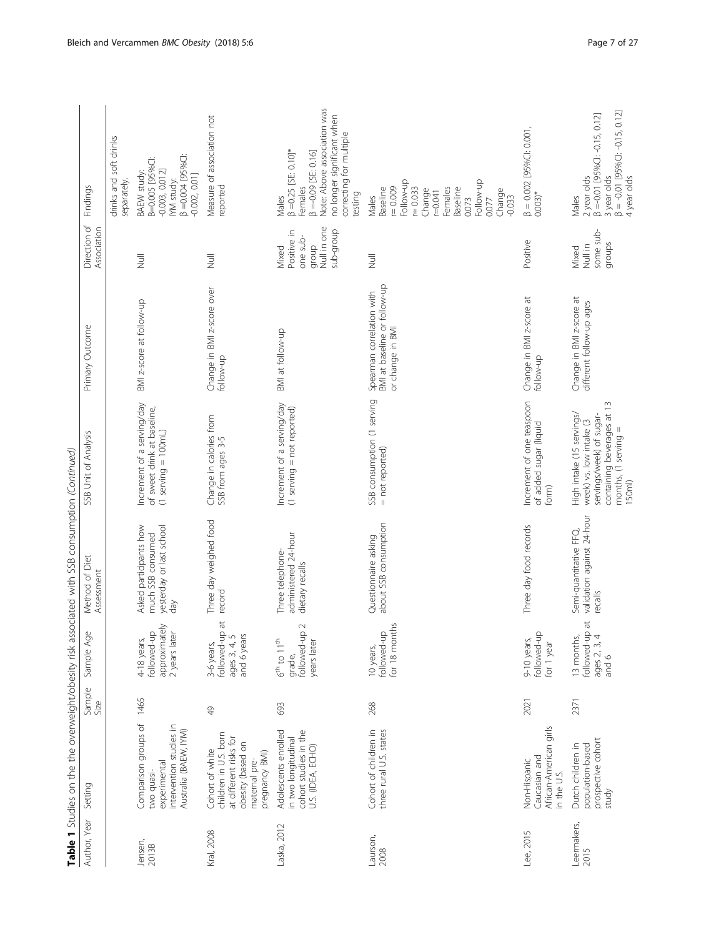| Author, Year        | Setting                                                                                                                    | Sample<br>Size | Sample Age                                                               | <b>IS THE PLAN CONSTRUCT OF A READ FOR THE READ OF THE READ FOR THE READ FOR THE READ FOR THE READ FOR THE READ FOR THE READ FOR THE READ FOR THE READ FOR THE READ FOR THE READ FOR THE READ FOR THE READ FOR THE READ FOR THE </b><br>Method of Diet<br>Assessment | SSB Unit of Analysis                                                                                                                             | Primary Outcome                                                               | Direction of<br>Association                                           | Findings                                                                                                                                                                    |
|---------------------|----------------------------------------------------------------------------------------------------------------------------|----------------|--------------------------------------------------------------------------|----------------------------------------------------------------------------------------------------------------------------------------------------------------------------------------------------------------------------------------------------------------------|--------------------------------------------------------------------------------------------------------------------------------------------------|-------------------------------------------------------------------------------|-----------------------------------------------------------------------|-----------------------------------------------------------------------------------------------------------------------------------------------------------------------------|
|                     |                                                                                                                            |                |                                                                          |                                                                                                                                                                                                                                                                      |                                                                                                                                                  |                                                                               |                                                                       | drinks and soft drinks<br>separately.                                                                                                                                       |
| Jensen,<br>2013B    | Comparison groups of<br>intervention studies in<br>Australia (BAEW, IYM)<br>experimental<br>two quasi-                     | 1465           | approximately<br>2 years later<br>followed-up<br>4-18 years,             | yesterday or last school<br>Asked participants how<br>much SSB consumed<br>day                                                                                                                                                                                       | Increment of a serving/day<br>of sweet drink at baseline,<br>$(1$ serving = 100mL)                                                               | BMI z-score at follow-up                                                      | $\overline{z}$                                                        | IYM study:<br>β =0.004 [95%C]:<br>B=0.005 [95%C]:<br>$-0.003, 0.012]$<br>BAEW study:<br>-0.002, 0.01]                                                                       |
| Kral, 2008          | children in U.S. born<br>at different risks for<br>obesity (based on<br>Cohort of white<br>pregnancy BMI)<br>maternal pre- | $\frac{1}{2}$  | $\vec{p}$<br>followed-up<br>ages 3, 4, 5<br>and 6 years<br>3-6 years,    | Three day weighed food<br>record                                                                                                                                                                                                                                     | Change in calories from<br>SSB from ages 3-5                                                                                                     | Change in BMI z-score over<br>follow-up                                       | $\overline{a}$                                                        | Measure of association not<br>reported                                                                                                                                      |
| Laska, 2012         | Adolescents enrolled<br>cohort studies in the<br>in two longitudinal<br>U.S. (IDEA, ECHO)                                  | 693            | $\sim$<br>followed-up<br>$6^{th}$ to $11^{th}$<br>years later<br>qrade,  | administered 24-hour<br>Three telephone-<br>dietary recalls                                                                                                                                                                                                          | Increment of a serving/day<br>$(1$ serving = not reported)                                                                                       | BMI at follow-up                                                              | Null in one<br>dnoib-qns<br>Positive in<br>one sub-<br>group<br>Mixed | Note: Above association was<br>no longer significant when<br>correcting for multiple<br>$\beta = 0.25$ [SE: 0.10]*<br>$3 = -0.09$ [SE: 0.16]<br>Females<br>testing<br>Males |
| Laurson,<br>2008    | Cohort of children in<br>three rural U.S. states                                                                           | 268            | for 18 months<br>followed-up<br>10 years,                                | about SSB consumption<br>Questionnaire asking                                                                                                                                                                                                                        | SSB consumption (1 serving<br>= not reported)                                                                                                    | BMI at baseline or follow-up<br>Spearman correlation with<br>or change in BMI | $\overline{\overline{z}}$                                             | Follow-up<br>Follow-up<br>$r = 0.009$<br>$r = 0.033$<br>Females<br>Baseline<br>Baseline<br>Change<br>Change<br>100041<br>$-0.033$<br>Males<br>0.073<br>0.077                |
| Lee, 2015           | African-American girls<br>Caucasian and<br>Non-Hispanic<br>in the U.S.                                                     | 2021           | followed-up<br>9-10 years,<br>for 1 year                                 | Three day food records                                                                                                                                                                                                                                               | Increment of one teaspoon<br>of added sugar (liquid<br>form)                                                                                     | Change in BMI z-score at<br>follow-up                                         | Positive                                                              | $\beta = 0.002$ [95%Cl: 0.001,<br>$0.003)*$                                                                                                                                 |
| Leermakers,<br>2015 | prospective cohort<br>Dutch children in<br>population-based<br>study                                                       | 2371           | $\overline{a}$<br>followed-up a<br>ages 2, 3, 4<br>13 months,<br>and $6$ | validation against 24-hour<br>Semi-quantitative FFQ,<br>recalls                                                                                                                                                                                                      | containing beverages at 13<br>High intake (15 servings/<br>servings/week) of sugar-<br>week) vs. low intake (3<br>months, (1 serving =<br>150ml) | Change in BMI z-score at<br>different follow-up ages                          | some sub-<br>groups<br>Null in<br>Mixed                               | β = -0.01 [95%Cl: -0.15, 0.12]<br>4 year olds<br>2 year olds<br>β =-0.01 [95%CI: -0.15, 0.12]<br>3 year olds<br>Males                                                       |

Table 1 Studies on the the overweight/ghesity risk associated with SSB consumption (Continued) Table 1 Studies on the the overweight/obesity risk associated with SSB consumption (Continued)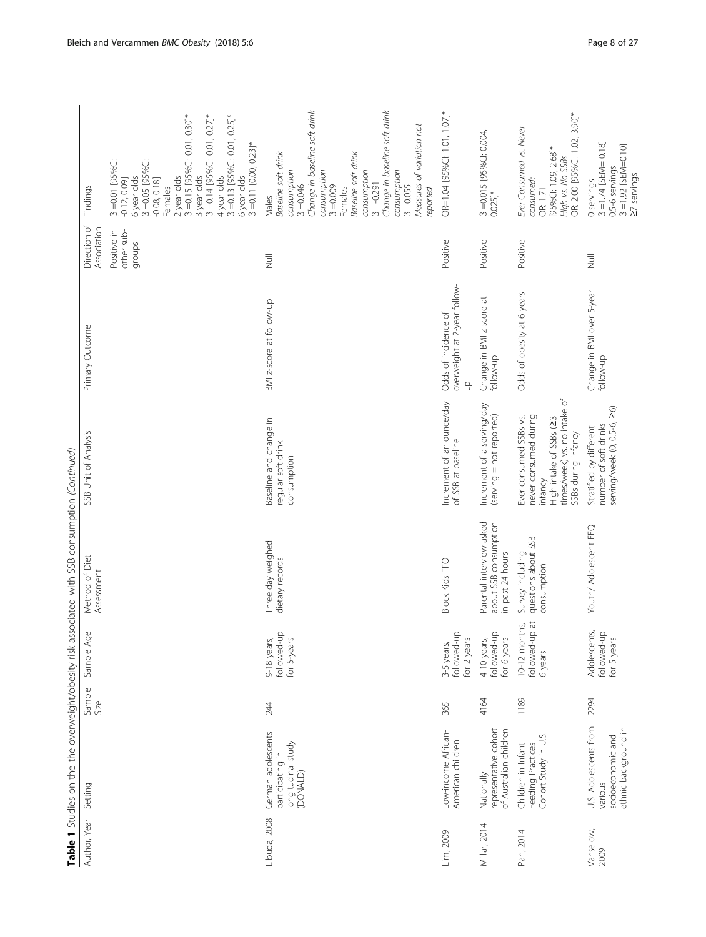|                   |                                                                               |                |                                            | Table 1 Studies on the the overweight/obesity risk associated with SSB consumption (Continued) |                                                                                                                                              |                                                            |                                     |                                                                                                                                                                                                                                                                                                                                |
|-------------------|-------------------------------------------------------------------------------|----------------|--------------------------------------------|------------------------------------------------------------------------------------------------|----------------------------------------------------------------------------------------------------------------------------------------------|------------------------------------------------------------|-------------------------------------|--------------------------------------------------------------------------------------------------------------------------------------------------------------------------------------------------------------------------------------------------------------------------------------------------------------------------------|
| Author, Year      | Setting                                                                       | Sample<br>Size | Sample Age                                 | Method of Diet<br>Assessment                                                                   | SSB Unit of Analysis                                                                                                                         | Primary Outcome                                            | Direction of<br>Association         | Findings                                                                                                                                                                                                                                                                                                                       |
|                   |                                                                               |                |                                            |                                                                                                |                                                                                                                                              |                                                            | other sub-<br>Positive in<br>groups | $\beta = 0.15$ [95%Cl: 0.01, 0.30]*<br>$\beta = 0.14$ [95%Cl: 0.01, 0.27]*<br>$\beta = 0.13$ [95%Cl: 0.01, 0.25]*<br>$\beta = 0.11$ [0.00, 0.23]*<br>$6$ year olds<br>$\beta = 0.05$ [95%C]:<br>$\beta = 0.01$ [95%C]<br>3 year olds<br>4 year olds<br>2 year olds<br>6 year olds<br>$-0.12, 0.09$<br>$-0.08, 0.18$<br>Females |
| Libuda, 2008      | German adolescents<br>longitudinal study<br>participating in<br>(DONALD)      | 244            | followed-up<br>9-18 years,<br>for 5-years  | Three day weighed<br>dietary records                                                           | Baseline and change in<br>regular soft drink<br>consumption                                                                                  | BMI z-score at follow-up                                   | $\overline{z}$                      | Change in baseline soft drink<br>Change in baseline soft drink<br>Measures of variation not<br>Baseline soft drink<br>Baseline soft drink<br>consumption<br>consumption<br>consumption<br>consumption<br>$\beta = -0.291$<br>$\beta = 0.046$<br>$6000 - 8$<br>$\beta = 0.055$<br>Females<br>reported<br>Males                  |
| Lim, 2009         | Low-income African-<br>American children                                      | 365            | followed-up<br>for 2 years<br>3-5 years,   | <b>Block Kids FFQ</b>                                                                          | Increment of an ounce/day<br>of SSB at baseline                                                                                              | overweight at 2-year follow-<br>Odds of incidence of<br>qn | Positive                            | OR=1.04 [95%Cl: 1.01, 1.07]*                                                                                                                                                                                                                                                                                                   |
| Millar, 2014      | representative cohort<br>of Australian children<br>Nationally                 | 4164           | followed-up<br>for 6 years<br>4-10 years,  | Parental interview asked<br>about SSB consumption<br>in past 24 hours                          | Increment of a serving/day<br>(serving = not reported)                                                                                       | Change in BMI z-score at<br>follow-up                      | Positive                            | β =0.015 [95%Cl: 0.004,<br>0.025]*                                                                                                                                                                                                                                                                                             |
| Pan, 2014         | Cohort Study in U.S.<br>Children in Infant<br>Feeding Practices               | 1189           | followed-up at<br>10-12 months,<br>6 years | questions about SSB<br>Survey including<br>consumption                                         | times/week) vs. no intake of<br>never consumed during<br>Ever consumed SSBs vs.<br>High intake of SSBs (23<br>SSBs during infancy<br>infancy | Odds of obesity at 6 years                                 | Positive                            | OR: 2.00 [95%CI: 1.02, 3.90]*<br>Ever Consumed vs. Never<br>[95%CI: 1.09, 2.68]*<br>High vs. No SSBs<br>consumed:<br>OR: 1.71                                                                                                                                                                                                  |
| Vanselow,<br>2009 | U.S. Adolescents from<br>ethnic background in<br>socioeconomic and<br>various | 2294           | Adolescents,<br>followed-up<br>for 5 years | Youth/ Adolescent FFQ                                                                          | $\frac{1}{20}$<br>serving/week (0, 0.5-6,<br>number of soft drinks<br>Stratified by different                                                | Change in BMI over 5-year<br>follow-up                     | $\overline{z}$                      | $\beta = 1.74$ [SEM= 0.18]<br>$\beta$ =1.92 [SEM=0.10]<br>27 servings<br>0.5-6 servings<br>0 servings                                                                                                                                                                                                                          |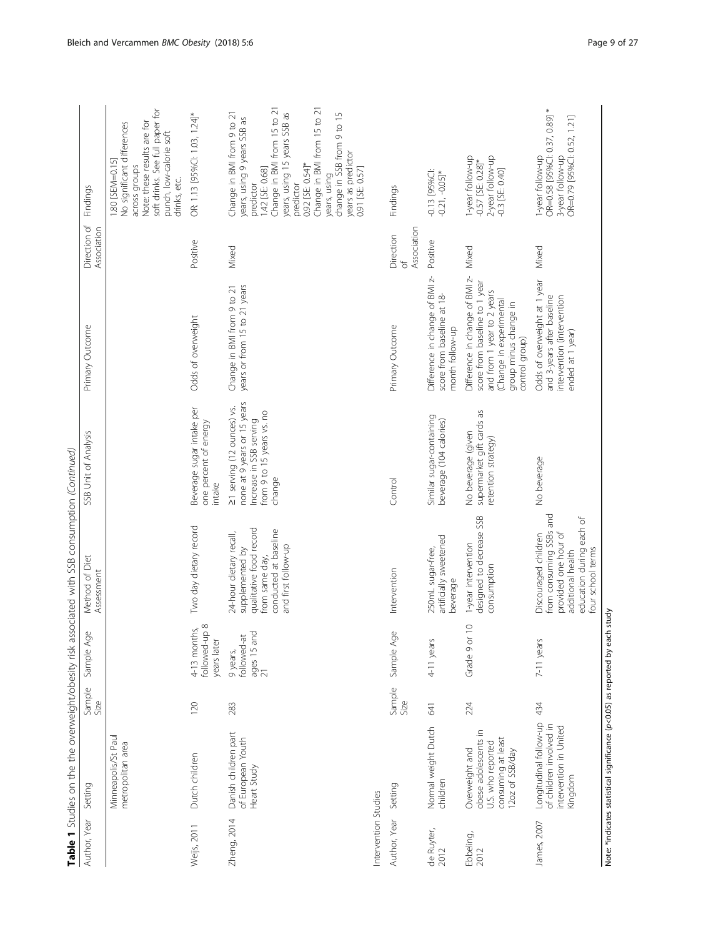| Author, Year         | Setting                                                                                              | Sample<br>Size | Sample Age                                                | <b>Labor Labora</b> and the contemporary with the conditional contemporary of the contemporary of the condition of the condition of the condition of the condition of the condition of the condition of the condition of the cond<br>Method of Diet<br>Assessment | SSB Unit of Analysis                                                                                                        | Primary Outcome                                                                                                                                                     | Direction of<br>Association                     | Findings                                                                                                                                                                                                                                                                                                        |
|----------------------|------------------------------------------------------------------------------------------------------|----------------|-----------------------------------------------------------|-------------------------------------------------------------------------------------------------------------------------------------------------------------------------------------------------------------------------------------------------------------------|-----------------------------------------------------------------------------------------------------------------------------|---------------------------------------------------------------------------------------------------------------------------------------------------------------------|-------------------------------------------------|-----------------------------------------------------------------------------------------------------------------------------------------------------------------------------------------------------------------------------------------------------------------------------------------------------------------|
|                      | Minneapolis/St Paul<br>metropolitan area                                                             |                |                                                           |                                                                                                                                                                                                                                                                   |                                                                                                                             |                                                                                                                                                                     |                                                 | soft drinks. See full paper for<br>No significant differences<br>Note: these results are for<br>punch, low-calorie soft<br>1.80 [SEM=0.15]<br>across groups<br>drinks, etc.                                                                                                                                     |
| Weijs, 2011          | Dutch children                                                                                       | 120            | followed-up 8<br>4-13 months,<br>years later              | Two day dietary record                                                                                                                                                                                                                                            | Beverage sugar intake per<br>one percent of energy<br>intake                                                                | Odds of overweight                                                                                                                                                  | Positive                                        | OR: 1.13 [95%Cl: 1.03, 1.24]*                                                                                                                                                                                                                                                                                   |
| Zheng, 2014          | Danish children part<br>of European Youth<br>Heart Study                                             | 283            | ages 15 and<br>$\frac{21}{21}$<br>followed-at<br>9 years, | qualitative food record<br>conducted at baseline<br>24-hour dietary recall,<br>and first follow-up<br>supplemented by<br>from same day,                                                                                                                           | none at 9 years or 15 years<br>21 serving (12 ounces) vs.<br>from 9 to 15 years vs. no<br>Increase in SSB serving<br>change | years or from 15 to 21 years<br>Change in BMI from 9 to 21                                                                                                          | Mixed                                           | Change in BMI from 15 to 21<br>Change in BMI from 15 to 21<br>years, using 15 years SSB as<br>change in SSB from 9 to 15<br>Change in BMI from 9 to 21<br>years, using 9 years SSB as<br>years as predictor<br>0.92 [SE: 0.54]*<br>1.42 [SE: 0.68]<br>0.91 [SE: 0.57]<br>years, using<br>predictor<br>predictor |
| Intervention Studies |                                                                                                      |                |                                                           |                                                                                                                                                                                                                                                                   |                                                                                                                             |                                                                                                                                                                     |                                                 |                                                                                                                                                                                                                                                                                                                 |
| Author, Year         | Setting                                                                                              | Sample<br>Size | Sample Age                                                | Intervention                                                                                                                                                                                                                                                      | Control                                                                                                                     | Primary Outcome                                                                                                                                                     | Association<br>Direction<br>$\overline{\sigma}$ | Findings                                                                                                                                                                                                                                                                                                        |
| de Ruyter,<br>2012   | Normal weight Dutch<br>children                                                                      | 541            | 4-11 years                                                | artificially sweetened<br>250mL sugar-free,<br>beverage                                                                                                                                                                                                           | Similar sugar-containing<br>beverage (104 calories)                                                                         | Difference in change of BMI z-<br>score from baseline at 18-<br>month follow-up                                                                                     | Positive                                        | $-0.13$ [95%C]:<br>$-0.21, -0.05$ <sup>*</sup>                                                                                                                                                                                                                                                                  |
| Ebbeling,<br>2012    | obese adolescents in<br>consuming at least<br>U.S. who reported<br>Overweight and<br>12oz of SSB/day | 224            | $\supseteq$<br>Grade 9 or                                 | designed to decrease SSB<br>1-year intervention<br>consumption                                                                                                                                                                                                    | supermarket gift cards as<br>No beverage (given<br>retention strategy)                                                      | Difference in change of BMI z-<br>score from baseline to 1 year<br>and from 1 year to 2 years<br>(Change in experimental<br>group minus change in<br>control group) | Mixed                                           | l-year follow-up<br>2-year follow-up<br>$-0.57$ [SE: 0.28]*<br>-0.3 [SE: 0.40]                                                                                                                                                                                                                                  |
| James, 2007          | Longitudinal follow-up<br>of children involved in<br>intervention in United<br>Kingdom               | 434            | 7-11 years                                                | from consuming SSBs and<br>education during each of<br>provided one hour of<br>Discouraged children<br>four school terms<br>additional health                                                                                                                     | No beverage                                                                                                                 | Odds of overweight at 1 year<br>and 3-years after baseline<br>intervention (intervention<br>ended at 1 year)                                                        | Mixed                                           | OR=0.58 [95%Cl: 0.37, 0.89] *<br>OR=0.79 [95%Cl: 0.52, 1.21]<br>-year follow-up<br>3-year follow-up                                                                                                                                                                                                             |

intinn (Continued) Table 1 Studies on the the overweight/obesity risk associated with SSB consumption (Continued) Table 1 Studies on the the overweight/obesity risk associated with SSB consum

Note: \*indicates statistical significance (p<0.05) as reported by each study Note: \*indicates statistical significance (p<0.05) as reported by each study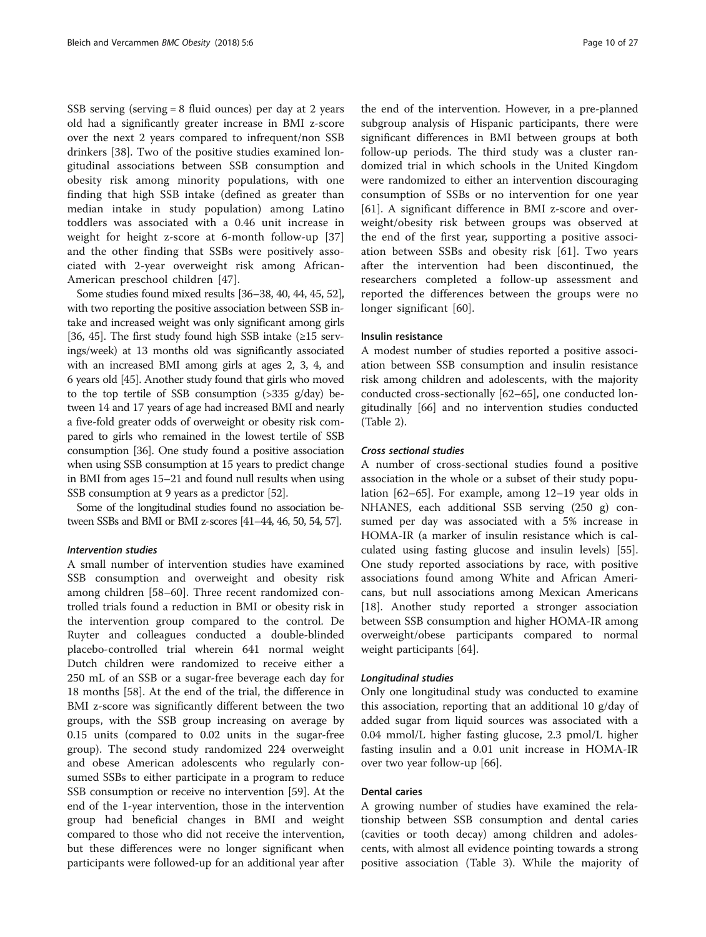SSB serving (serving = 8 fluid ounces) per day at 2 years old had a significantly greater increase in BMI z-score over the next 2 years compared to infrequent/non SSB drinkers [[38\]](#page-24-0). Two of the positive studies examined longitudinal associations between SSB consumption and obesity risk among minority populations, with one finding that high SSB intake (defined as greater than median intake in study population) among Latino toddlers was associated with a 0.46 unit increase in weight for height z-score at 6-month follow-up [\[37](#page-24-0)] and the other finding that SSBs were positively associated with 2-year overweight risk among African-American preschool children [[47](#page-25-0)].

Some studies found mixed results [[36](#page-24-0)–[38, 40,](#page-24-0) [44, 45](#page-25-0), [52](#page-25-0)], with two reporting the positive association between SSB intake and increased weight was only significant among girls [[36](#page-24-0), [45](#page-25-0)]. The first study found high SSB intake (≥15 servings/week) at 13 months old was significantly associated with an increased BMI among girls at ages 2, 3, 4, and 6 years old [[45](#page-25-0)]. Another study found that girls who moved to the top tertile of SSB consumption  $(>335 \text{ g/day})$  between 14 and 17 years of age had increased BMI and nearly a five-fold greater odds of overweight or obesity risk compared to girls who remained in the lowest tertile of SSB consumption [\[36\]](#page-24-0). One study found a positive association when using SSB consumption at 15 years to predict change in BMI from ages 15–21 and found null results when using SSB consumption at 9 years as a predictor [[52](#page-25-0)].

Some of the longitudinal studies found no association between SSBs and BMI or BMI z-scores [\[41](#page-24-0)–[44](#page-25-0), [46, 50](#page-25-0), [54, 57](#page-25-0)].

# Intervention studies

A small number of intervention studies have examined SSB consumption and overweight and obesity risk among children [\[58](#page-25-0)–[60\]](#page-25-0). Three recent randomized controlled trials found a reduction in BMI or obesity risk in the intervention group compared to the control. De Ruyter and colleagues conducted a double-blinded placebo-controlled trial wherein 641 normal weight Dutch children were randomized to receive either a 250 mL of an SSB or a sugar-free beverage each day for 18 months [\[58](#page-25-0)]. At the end of the trial, the difference in BMI z-score was significantly different between the two groups, with the SSB group increasing on average by 0.15 units (compared to 0.02 units in the sugar-free group). The second study randomized 224 overweight and obese American adolescents who regularly consumed SSBs to either participate in a program to reduce SSB consumption or receive no intervention [\[59\]](#page-25-0). At the end of the 1-year intervention, those in the intervention group had beneficial changes in BMI and weight compared to those who did not receive the intervention, but these differences were no longer significant when participants were followed-up for an additional year after

the end of the intervention. However, in a pre-planned subgroup analysis of Hispanic participants, there were significant differences in BMI between groups at both follow-up periods. The third study was a cluster randomized trial in which schools in the United Kingdom were randomized to either an intervention discouraging consumption of SSBs or no intervention for one year [[61\]](#page-25-0). A significant difference in BMI z-score and overweight/obesity risk between groups was observed at the end of the first year, supporting a positive association between SSBs and obesity risk [\[61](#page-25-0)]. Two years after the intervention had been discontinued, the researchers completed a follow-up assessment and reported the differences between the groups were no longer significant [[60](#page-25-0)].

#### Insulin resistance

A modest number of studies reported a positive association between SSB consumption and insulin resistance risk among children and adolescents, with the majority conducted cross-sectionally [\[62](#page-25-0)–[65\]](#page-25-0), one conducted longitudinally [\[66](#page-25-0)] and no intervention studies conducted (Table [2\)](#page-10-0).

#### Cross sectional studies

A number of cross-sectional studies found a positive association in the whole or a subset of their study population [\[62](#page-25-0)–[65\]](#page-25-0). For example, among 12–19 year olds in NHANES, each additional SSB serving (250 g) consumed per day was associated with a 5% increase in HOMA-IR (a marker of insulin resistance which is calculated using fasting glucose and insulin levels) [\[55](#page-25-0)]. One study reported associations by race, with positive associations found among White and African Americans, but null associations among Mexican Americans [[18\]](#page-24-0). Another study reported a stronger association between SSB consumption and higher HOMA-IR among overweight/obese participants compared to normal weight participants [[64\]](#page-25-0).

#### Longitudinal studies

Only one longitudinal study was conducted to examine this association, reporting that an additional 10 g/day of added sugar from liquid sources was associated with a 0.04 mmol/L higher fasting glucose, 2.3 pmol/L higher fasting insulin and a 0.01 unit increase in HOMA-IR over two year follow-up [[66](#page-25-0)].

#### Dental caries

A growing number of studies have examined the relationship between SSB consumption and dental caries (cavities or tooth decay) among children and adolescents, with almost all evidence pointing towards a strong positive association (Table [3](#page-11-0)). While the majority of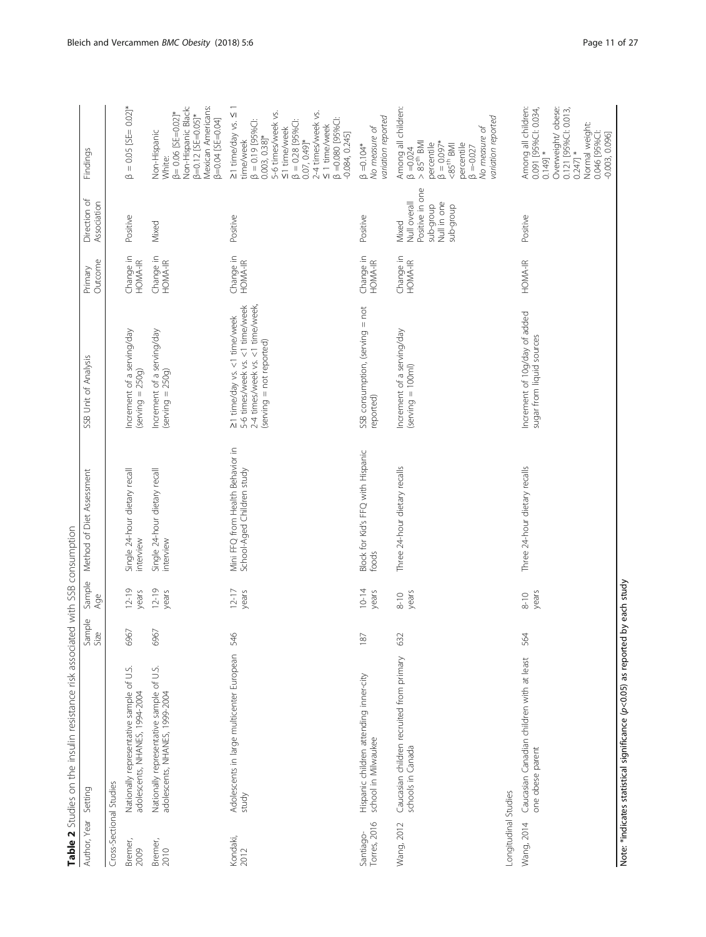<span id="page-10-0"></span>

|                           | Table 2 Studies on the insulin resistance risk associated with SSB consumption |                |                    |                                                                |                                                                                                                                |                      |                                                                                   |                                                                                                                                                                                                                                                                    |
|---------------------------|--------------------------------------------------------------------------------|----------------|--------------------|----------------------------------------------------------------|--------------------------------------------------------------------------------------------------------------------------------|----------------------|-----------------------------------------------------------------------------------|--------------------------------------------------------------------------------------------------------------------------------------------------------------------------------------------------------------------------------------------------------------------|
| Author, Year              | Setting                                                                        | Sample<br>Size | Sample<br>Age      | Method of Diet Assessment                                      | SSB Unit of Analysis                                                                                                           | Outcome<br>Primary   | Direction of<br>Association                                                       | Findings                                                                                                                                                                                                                                                           |
| Cross-Sectional Studies   |                                                                                |                |                    |                                                                |                                                                                                                                |                      |                                                                                   |                                                                                                                                                                                                                                                                    |
| Bremer,<br>2009           | Nationally representative sample of U.S.<br>adolescents, NHANES, 1994-2004     | 6967           | $12-19$<br>years   | Single 24-hour dietary recall<br>interview                     | Increment of a serving/day<br>$(serving = 250g)$                                                                               | Change in<br>HOMA-IR | Positive                                                                          | $= 0.05$ [SE= 0.02]*<br>$\infty$                                                                                                                                                                                                                                   |
| Bremer,<br>2010           | Nationally representative sample of U.S.<br>adolescents, NHANES, 1999-2004     | 6967           | $12 - 19$<br>years | Single 24-hour dietary recall<br>interview                     | Increment of a serving/day<br>$(serving = 250g)$                                                                               | Change in<br>HOMA-IR | Mixed                                                                             | Mexican Americans:<br>Non-Hispanic Black:<br>$\beta = 0.06$ [SE=0.02]*<br>$\beta = 0.12$ [SE=0.05]*<br>$[50.04]$ $[SE=0.04]$<br>Non-Hispanic<br>White:                                                                                                             |
| Kondaki,<br>2012          | Adolescents in large multicenter European<br>study                             | 546            | $12 - 17$<br>years | Mini FFQ from Health Behavior in<br>School-Aged Children study | 21 time/day vs. <1 time/week<br>5-6 times/week vs. <1 time/week<br>2-4 times/week vs. <1 time/week<br>(serving = not reported) | Change in<br>HOMA-IR | Positive                                                                          | $\geq$ 1 time/day vs. $\leq$<br>5-6 times/week vs.<br>2-4 times/week vs.<br>$\beta = 0.080$ [95%C]:<br>$\beta = 0.19$ [95%C]:<br>$\leq 1$ time/week<br>$\beta = 0.28$ [95%Cl:<br>≤ 1 time/week<br>$-0.084, 0.245$<br>$0.003, 0.38$ ]*<br>0.07, 0.49]*<br>time/week |
| Torres, 2016<br>Santiago- | Hispanic children attending inner-city<br>school in Milwaukee                  | 187            | $10 - 14$<br>years | Block for Kid's FFQ with Hispanic<br>foods                     | SSB consumption, (serving = not<br>reported)                                                                                   | Change in<br>HOMA-IR | Positive                                                                          | variation reported<br>No measure of<br>$\beta = 0.104*$                                                                                                                                                                                                            |
| Wang, 2012                | Caucasian children recruited from primary<br>schools in Canada                 | 632            | years<br>$8 - 10$  | Three 24-hour dietary recalls                                  | Increment of a serving/day<br>$(serving = 100ml)$                                                                              | Change in<br>HOMA-IR | Positive in one<br>Null overall<br>sub-group<br>Null in one<br>quorg-que<br>Mixed | Among all children:<br>variation reported<br>No measure of<br>$\beta = 0.024$<br>> 85 <sup>th</sup> BMI<br>$\beta = 0.097$ *<br>percentile<br>percentile<br>$-85th$ BMI<br>$\beta = -0.027$                                                                        |
| Longitudinal Studies      |                                                                                | 564            | $8-10$             |                                                                |                                                                                                                                | HOMA-IR              |                                                                                   |                                                                                                                                                                                                                                                                    |
| Wang, 2014                | Caucasian Canadian children with at least<br>one obese parent                  |                | years              | Three 24-hour dietary recalls                                  | Increment of 10g/day of added<br>sugar from liquid sources                                                                     |                      | Positive                                                                          | Among all children:<br>0.091 [95%Cl: 0.034,<br>Overweight/ obese:<br>0.121 [95%CI: 0.013,<br>Normal weight:<br>0.046 [95%C]:<br>$-0.003, 0.096$<br>$0.247]$ *<br>$*$ [6 $+10$                                                                                      |

Note: \*indicates statistical significance (p<0.05) as reported by each study Note: \*indicates statistical significance (p<0.05) as reported by each study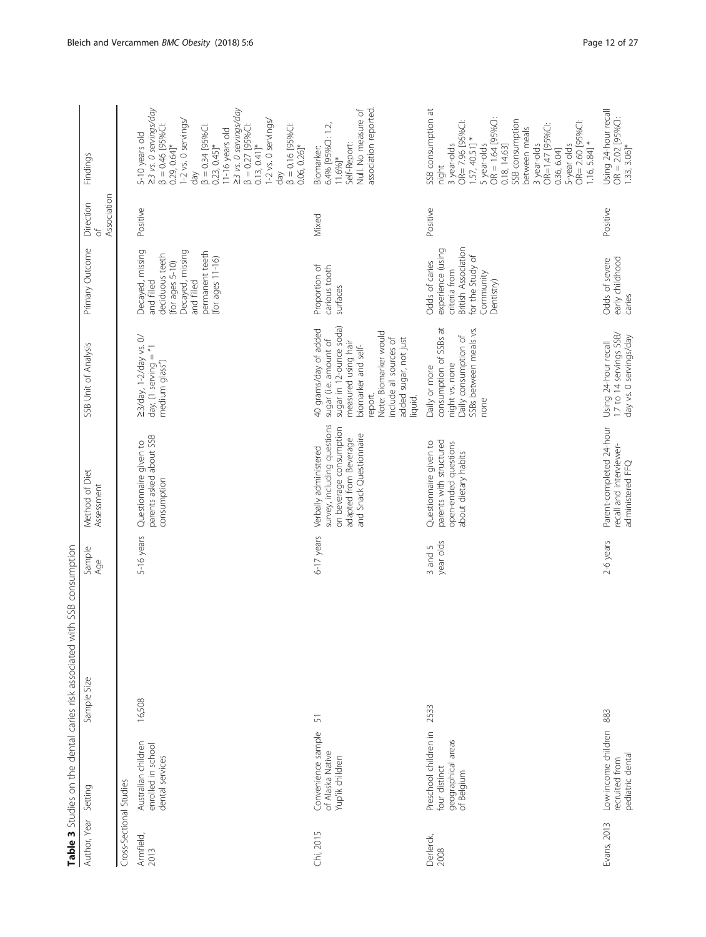<span id="page-11-0"></span>

|                         |                                                                            | Table 3 Studies on the dental caries risk associated with SSB consumption |                      |                                                                                                                                     |                                                                                                                                                                                                                           |                                                                                                                                                     |                                        |                                                                                                                                                                                                                                                                                                                                               |
|-------------------------|----------------------------------------------------------------------------|---------------------------------------------------------------------------|----------------------|-------------------------------------------------------------------------------------------------------------------------------------|---------------------------------------------------------------------------------------------------------------------------------------------------------------------------------------------------------------------------|-----------------------------------------------------------------------------------------------------------------------------------------------------|----------------------------------------|-----------------------------------------------------------------------------------------------------------------------------------------------------------------------------------------------------------------------------------------------------------------------------------------------------------------------------------------------|
| Author, Year Setting    |                                                                            | Sample Size                                                               | Sample<br>Age        | Method of Diet<br>Assessment                                                                                                        | SSB Unit of Analysis                                                                                                                                                                                                      | Primary Outcome                                                                                                                                     | Association<br>Direction<br>$\sqrt{2}$ | Findings                                                                                                                                                                                                                                                                                                                                      |
| Cross-Sectional Studies |                                                                            |                                                                           |                      |                                                                                                                                     |                                                                                                                                                                                                                           |                                                                                                                                                     |                                        |                                                                                                                                                                                                                                                                                                                                               |
| Armfield,<br>2013       | Australian children<br>enrolled in school<br>dental services               | 16,508                                                                    | 5-16 years           | parents asked about SSB<br>Questionnaire given to<br>consumption                                                                    | 23/day, 1-2/day vs. 0/<br>day, (1 serving = "1<br>medium glass")                                                                                                                                                          | Decayed, missing<br>Decayed, missing<br>permanent teeth<br>deciduous teeth<br>(for ages $11-16$ )<br>(for ages $5-10$ )<br>and filled<br>and filled | Positive                               | 23 vs. 0 servings/day<br>23 vs. 0 servings/day<br>1-2 vs. 0 servings/<br>I-2 vs. 0 servings/<br>$\beta = 0.46$ [95%C]:<br>$\beta = 0.27$ [95%C]:<br>$\beta = 0.16$ [95%C]:<br>$\beta = 0.34$ [95%C]:<br>11-16 years old<br>5-10 years old<br>$0.29, 0.64$ ]*<br>$0.23, 0.45$ ]*<br>$0.13, 0.41$ <sup>*</sup><br>$0.06, 0.26$ ]*<br>day<br>day |
| Chi, 2015               | Convenience sample<br>of Alaska Native<br>Yup'ik children                  | 5                                                                         | 6-17 years           | survey, including questions<br>on beverage consumption<br>and Snack Questionnaire<br>adapted from Beverage<br>Verbally administered | sugar in 12-ounce soda)<br>40 grams/day of added<br>Note: Biomarker would<br>added sugar, not just<br>include all sources of<br>sugar (i.e. amount of<br>measured using hair<br>biomarker and self-<br>report.<br>liquid. | Proportion of<br>carious tooth<br>surfaces                                                                                                          | Mixed                                  | association reported<br>Null. No measure of<br>6.4% [95%CI: 1.2,<br>Self-Report:<br>Biomarker:<br>$11.6%$ <sup>*</sup>                                                                                                                                                                                                                        |
| Derlerck,<br>2008       | Preschool children in<br>geographical areas<br>four distinct<br>of Belgium | 2533                                                                      | year olds<br>3 and 5 | parents with structured<br>Questionnaire given to<br>open-ended questions<br>about dietary habits                                   | consumption of SSBs at<br>SSBs between meals vs.<br>Daily consumption of<br>night vs. none<br>Daily or more<br>none                                                                                                       | British Association<br>experience (using<br>for the Study of<br>Odds of caries<br>criteria from<br>Community<br>Dentistry)                          | Positive                               | SSB consumption at<br>$OR = 1.64 [95%C1$<br>SSB consumption<br>OR= 7.96 [95%CI:<br>OR= 2.60 [95%C]:<br>OR=1.47 [95%C]:<br>between meals<br>$1.57,40.51$ ] *<br>$1.16, 5.84$ ] *<br>5-year olds<br>5 year-olds<br>3 year-olds<br>3 year-olds<br>0.18, 14.63<br>0.36, 6.04]<br>night                                                            |
| Evans, 2013             | Low-income children<br>pediatric dental<br>recruited from                  | 883                                                                       | 2-6 years            | Parent-completed 24-hour<br>recall and interviewer-<br>administered FFQ                                                             | 1.7 to 14 servings SSB/<br>day vs. 0 servings/day<br>Using 24-hour recall                                                                                                                                                 | early childhood<br>Odds of severe<br>caries                                                                                                         | Positive                               | Using 24-hour recall<br>$OR = 2.02$ [95%C]:<br>1.33, 3.06]*                                                                                                                                                                                                                                                                                   |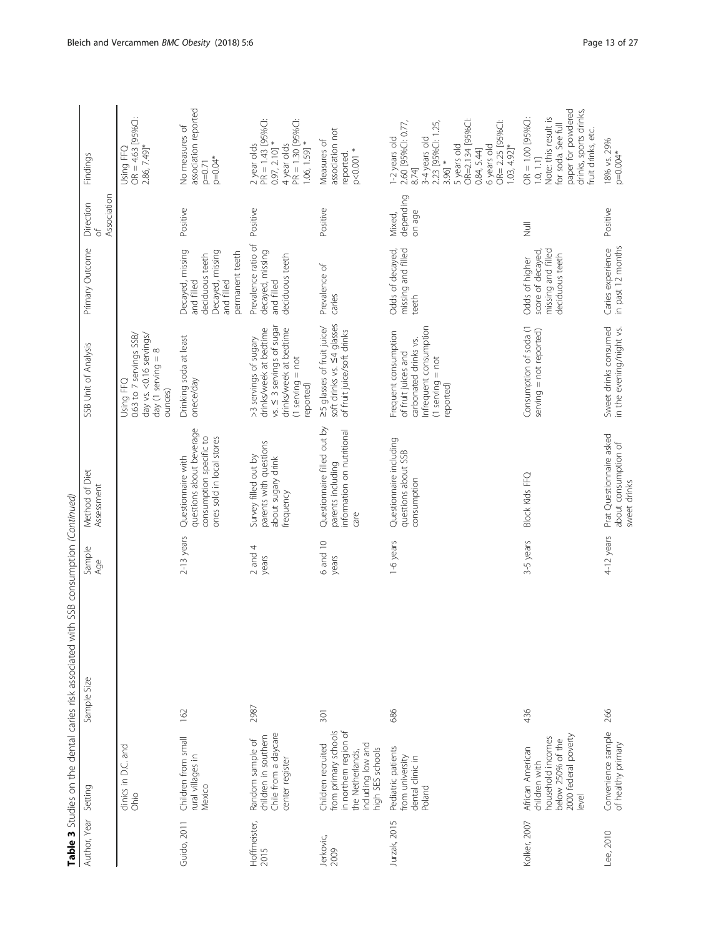|                      |                                                                                                                                  | Table 3 Studies on the dental caries risk associated with SSB consumption (Continued) |                      |                                                                                                        |                                                                                                                                           |                                                                                                        |                                      |                                                                                                                                                                                                                |
|----------------------|----------------------------------------------------------------------------------------------------------------------------------|---------------------------------------------------------------------------------------|----------------------|--------------------------------------------------------------------------------------------------------|-------------------------------------------------------------------------------------------------------------------------------------------|--------------------------------------------------------------------------------------------------------|--------------------------------------|----------------------------------------------------------------------------------------------------------------------------------------------------------------------------------------------------------------|
| Author, Year         | Setting                                                                                                                          | Sample Size                                                                           | Sample<br>Age        | Method of Diet<br>Assessment                                                                           | SSB Unit of Analysis                                                                                                                      | Primary Outcome                                                                                        | Association<br>Direction<br>$\sigma$ | Findings                                                                                                                                                                                                       |
|                      | clinics in D.C. and<br>Ohio                                                                                                      |                                                                                       |                      |                                                                                                        | day vs. < 0.16 servings/<br>0.63 to 7 servings SSB/<br>day (1 serving $= 8$<br>Using FFQ<br>ounces)                                       |                                                                                                        |                                      | $OR = 4.63$ [95%C]:<br>2.86, 7.49]*<br>Using FFQ                                                                                                                                                               |
| Guido, 2011          | Children from small<br>rural villages in<br>Mexico                                                                               | 162                                                                                   | $2-13$ years         | questions about beverage<br>consumption specific to<br>ones sold in local stores<br>Questionnaire with | Drinking soda at least<br>onece/day                                                                                                       | Decayed, missing<br>Decayed, missing<br>permanent teeth<br>deciduous teeth<br>and filled<br>and filled | Positive                             | association reported<br>No measures of<br>p=0.04*<br>$p=0.71$                                                                                                                                                  |
| Hoffmeister,<br>2015 | Chile from a daycare<br>children in southern<br>Random sample of<br>center register                                              | 2987                                                                                  | $2$ and $4$<br>years | parents with questions<br>Survey filled out by<br>about sugary drink<br>frequency                      | vs. < 3 servings of sugar<br>drinks/week at bedtime<br>drinks/week at bedtime<br>>3 servings of sugary<br>$(1$ serving = not<br>reported) | Prevalence ratio of<br>decayed, missing<br>deciduous teeth<br>and filled                               | Positive                             | PR = 1.30 [95%C]:<br>PR = 1.43 [95%CI:<br>$0.97, 2.101$ *<br>4 year olds<br>$1.06, 1.591*$<br>2 year olds                                                                                                      |
| Jerkovic,<br>2009    | from primary schools<br>in northern region of<br>including low and<br>Children recruited<br>high SES schools<br>the Netherlands, | 301                                                                                   | 6 and 10<br>years    | Questionnaire filled out by<br>information on nutritional<br>parents including<br>care                 | 25 glasses of fruit juice/<br>soft drinks vs. 54 glasses<br>of fruit juice/soft drinks                                                    | Prevalence of<br>caries                                                                                | Positive                             | association not<br>Measures of<br>p<0.001 *<br>reported.                                                                                                                                                       |
| Jurzak, 2015         | Pediatric patients<br>from university<br>dental clinic in<br>Poland                                                              | 686                                                                                   | 1-6 years            | Questionnaire including<br>questions about SSB<br>consumption                                          | Infrequent consumption<br>Frequent consumption<br>carbonated drinks vs.<br>of fruit juices and<br>$(1$ serving = not<br>reported)         | missing and filled<br>Odds of decayed,<br>teeth                                                        | depending<br>on age<br>Mixed,        | OR=2.134 [95%C]:<br>2.60 [95%CI: 0.77,<br>2.23 [95%Cl: 1.25,<br>3.96] *<br>OR= 2.25 [95%C]:<br>1-2 years old<br>3-4 years old<br>6 years old<br>5 years old<br>$1.03, 4.92$ <sup>*</sup><br>0.84, 5.44<br>8.74 |
| Kolker, 2007         | 2000 federal poverty<br>household incomes<br>below 250% of the<br>African American<br>children with<br>level                     | 436                                                                                   | 3-5 years            | <b>Block Kids FFQ</b>                                                                                  | Consumption of soda (1<br>serving = not reported)                                                                                         | missing and filled<br>score of decayed<br>deciduous teeth<br>Odds of higher                            | $\overline{z}$                       | paper for powdered<br>drinks, sports drinks,<br>Note: this result is<br>OR = 1.00 [95%C]:<br>for soda. See full<br>ruit drinks, etc.<br>1.0, 1.1                                                               |
| Lee, 2010            | Convenience sample<br>of healthy primary                                                                                         | 266                                                                                   | 4-12 years           | Prat Questionnaire asked<br>about consumption of<br>sweet drinks                                       | Sweet drinks consumed<br>in the evening/night vs.                                                                                         | in past 12 months<br>Caries experience                                                                 | Positive                             | 18% vs. 29%<br>$p=0.004*$                                                                                                                                                                                      |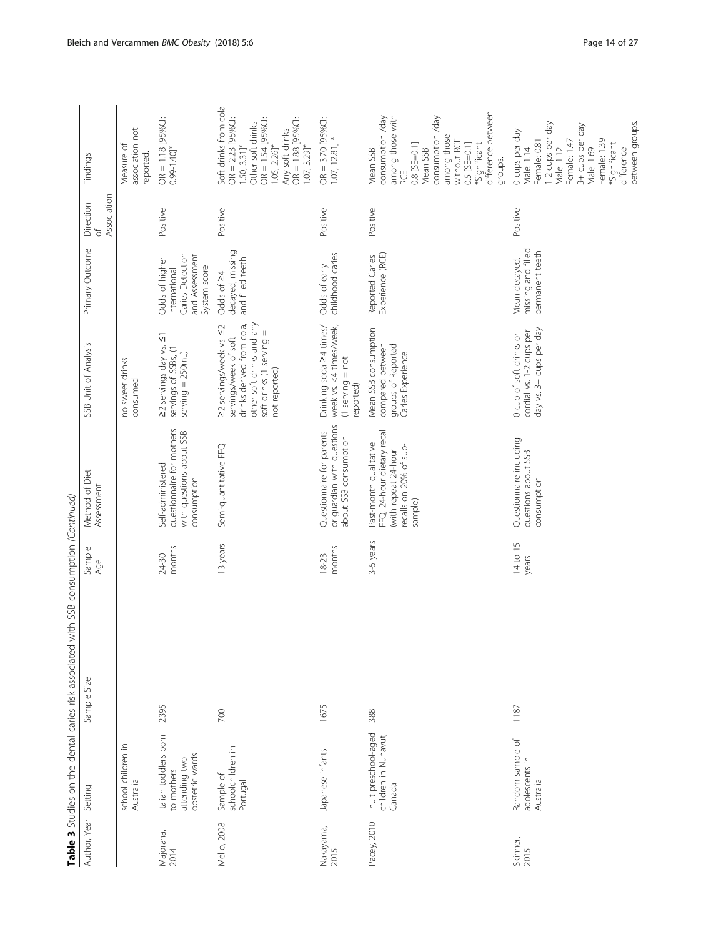| J<br>è               | ipii iPh Din I iPh Cannast                                              | כ<br>ר<br>A DUIBDOCRO ACE CDIBD | ו השפחה האפורה בא   |                                                                                                                    |                                                                                                                                                         |                                                                                       |                               |                                                                                                                                                                                                        |
|----------------------|-------------------------------------------------------------------------|---------------------------------|---------------------|--------------------------------------------------------------------------------------------------------------------|---------------------------------------------------------------------------------------------------------------------------------------------------------|---------------------------------------------------------------------------------------|-------------------------------|--------------------------------------------------------------------------------------------------------------------------------------------------------------------------------------------------------|
| Author, Year Setting |                                                                         | Sample Size                     | Sample<br>Age       | Method of Diet<br>Assessment                                                                                       | SSB Unit of Analysis                                                                                                                                    | Primary Outcome                                                                       | Association<br>Direction<br>ď | Findings                                                                                                                                                                                               |
|                      | school children in<br>Australia                                         |                                 |                     |                                                                                                                    | no sweet drinks<br>consumed                                                                                                                             |                                                                                       |                               | association not<br>Measure of<br>reported.                                                                                                                                                             |
| Majorana,<br>2014    | Italian toddlers born<br>obstetric wards<br>attending two<br>to mothers | 2395                            | months<br>24-30     | questionnaire for mothers<br>with questions about SSB<br>Self-administered<br>consumption                          | 22 servings day vs. 51<br>servings of SSBs, (1<br>$serving = 250m1$                                                                                     | Caries Detection<br>and Assessment<br>Odds of higher<br>System score<br>International | Positive                      | OR = 1.18 [95%C]:<br>$0.99 - 1.40$ <sup>*</sup>                                                                                                                                                        |
| Mello, 2008          | schoolchildren in<br>Sample of<br>Portugal                              | 700                             | 13 years            | Semi-quantitative FFQ                                                                                              | other soft drinks and any<br>drinks derived from cola,<br>22 servings/week vs. 52<br>soft drinks (1 serving =<br>not reported)<br>servings/week of soft | decayed, missing<br>and filled teeth<br>Odds of 24                                    | Positive                      | Soft drinks from cola<br>$OR = 2.23$ [95%C]:<br>$OR = 1.54 [95%C1$<br>$OR = 1.88$ [95%C]:<br>Other soft drinks<br>Any soft drinks<br>$1.50, 3.31$ ]*<br>$.05, 2.26]$ *<br>$1.07, 3.29$ <sup>*</sup>    |
| Nakayama,<br>2015    | Japanese infants                                                        | 1675                            | months<br>$18 - 23$ | or guardian with questions<br>Questionnaire for parents<br>about SSB consumption                                   | week vs. <4 times/week,<br>Drinking soda 24 times/<br>$(1$ serving = not<br>reported)                                                                   | childhood caries<br>Odds of early                                                     | Positive                      | $OR = 3.70$ [95%C]:<br>$1.07, 12.81$ ] *                                                                                                                                                               |
| Pacey, 2010          | Inuit preschool-aged<br>children in Nunavut,<br>Canada                  | 388                             | 3-5 years           | FFQ, 24-hour dietary recall<br>Past-month qualitative<br>recalls on 20% of sub-<br>(with repeat 24-hour<br>sample) | Mean SSB consumption<br>compared between<br>groups of Reported<br>Caries Experience                                                                     | Experience (RCE)<br>Reported Caries                                                   | Positive                      | difference between<br>among those with<br>consumption /day<br>consumption /day<br>among those<br>without RCE<br>0.8 [SE=0.1]<br>0.5 [SE=0.1]<br>*Significant<br>Mean SSB<br>Mean SSB<br>groups.<br>RCE |
| Skinner,<br>2015     | Random sample of<br>adolescents in<br>Australia                         | 1187                            | 14 to 15<br>years   | Questionnaire including<br>questions about SSB<br>consumption                                                      | day vs. 3+ cups per day<br>cordial vs. 1-2 cups per<br>0 cup of soft drinks or                                                                          | missing and filled<br>permanent teeth<br>Mean decayed,                                | Positive                      | between groups.<br>1-2 cups per day<br>3+ cups per day<br>0 cups per day<br>Female: 1.47<br>Female: 1.39<br>Female: 0.81<br>*Significant<br>Male: 1.12<br>Male: 1.69<br>Male: 1.14<br>difference       |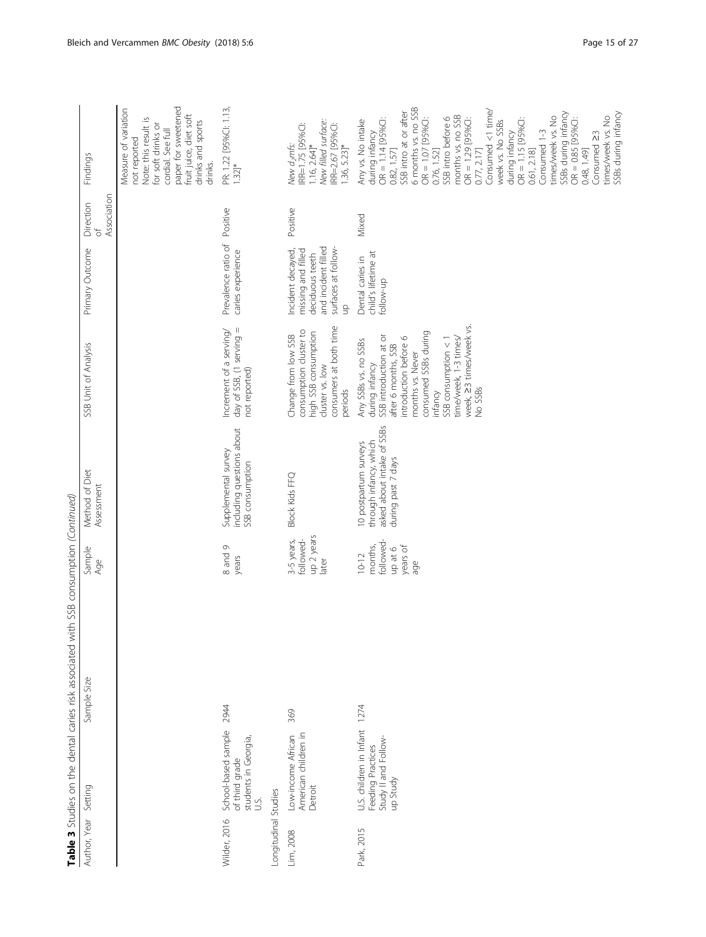|                                      |                                                                                       | Table 3 Studies on the dental caries risk associated with SSB consumption (Continued) |                                                                |                                                                                                     |                                                                                                                                                                                                                                                                      |                                                                                                                |                                        |                                                                                                                                                                                                                                                                                                                                                                                                                                                                                                            |
|--------------------------------------|---------------------------------------------------------------------------------------|---------------------------------------------------------------------------------------|----------------------------------------------------------------|-----------------------------------------------------------------------------------------------------|----------------------------------------------------------------------------------------------------------------------------------------------------------------------------------------------------------------------------------------------------------------------|----------------------------------------------------------------------------------------------------------------|----------------------------------------|------------------------------------------------------------------------------------------------------------------------------------------------------------------------------------------------------------------------------------------------------------------------------------------------------------------------------------------------------------------------------------------------------------------------------------------------------------------------------------------------------------|
| Author, Year                         | Setting                                                                               | Sample Size                                                                           | Sample<br>Age                                                  | Method of Diet<br>Assessment                                                                        | SSB Unit of Analysis                                                                                                                                                                                                                                                 | Primary Outcome                                                                                                | Association<br>Direction<br>$\sqrt{2}$ | Findings                                                                                                                                                                                                                                                                                                                                                                                                                                                                                                   |
|                                      |                                                                                       |                                                                                       |                                                                |                                                                                                     |                                                                                                                                                                                                                                                                      |                                                                                                                |                                        | paper for sweetened<br>Measure of variation<br>fruit juice, diet soft<br>Note: this result is<br>drinks and sports<br>for soft drinks or<br>cordial. See full<br>not reported<br>drinks.                                                                                                                                                                                                                                                                                                                   |
| Longitudinal Studies<br>Wilder, 2016 | School-based sample<br>students in Georgia,<br>of third grade<br>U.S.                 | 2944                                                                                  | 8 and 9<br>years                                               | including questions about<br>Supplemental survey<br>SSB consumption                                 | day of SSB, (1 serving =<br>Increment of a serving/<br>not reported)                                                                                                                                                                                                 | Prevalence ratio of<br>caries experience                                                                       | Positive                               | PR: 1.22 [95%Cl: 1.13,<br>1.32]*                                                                                                                                                                                                                                                                                                                                                                                                                                                                           |
| Lim, 2008                            | American children in<br>Low-income African<br>Detroit                                 | 369                                                                                   | up 2 years<br>3-5 years,<br>followed-<br>later                 | <b>Block Kids FFQ</b>                                                                               | consumers at both time<br>consumption cluster to<br>high SSB consumption<br>Change from low SSB<br>cluster vs. low<br>periods                                                                                                                                        | and incident filled<br>surfaces at follow-<br>Incident decayed,<br>missing and filled<br>deciduous teeth<br>qu | Positive                               | New filled surface:<br>IRR=2.67 [95%C]:<br>RR=1.75 [95%C]:<br>$1.16, 2.64$ <sup>*</sup><br>$1.36, 5.23$ ]*<br>New d <sub>2</sub> mfs:                                                                                                                                                                                                                                                                                                                                                                      |
| Park, 2015                           | U.S. children in Infant 1274<br>Study II and Follow-<br>Feeding Practices<br>up Study |                                                                                       | followed<br>months,<br>years of<br>up at 6<br>$10 - 12$<br>age | asked about intake of SSBs<br>through infancy, which<br>10 postpartum surveys<br>during past 7 days | week, 23 times/week vs.<br>consumed SSBs during<br>SSB introduction at or<br>introduction before 6<br>time/week, 1-3 times/<br>SSB consumption < 1<br>Any SSBs vs. no SSBs<br>after 6 months, SSB<br>months vs. Never<br>during infancy<br><b>Vo SSBs</b><br>infancy | child's lifetime at<br>Dental caries in<br>follow-up                                                           | Mixed                                  | 6 months vs. no SSB<br>Consumed <1 time/<br>SSB intro at or after<br>SSBs during infancy<br>SSBs during infancy<br>months vs. no SSB<br>times/week vs. No<br>times/week vs. No<br>$OR = 1.07$ [95%C]:<br>SSB intro before 6<br>$OR = 1.14 [95%C1:$<br>OR = 1.29 [95%C]:<br>$OR = 0.85$ [95%C]:<br>$OR = 1.15$ [95%C]:<br>week vs. No SSBs<br>Any vs. No intake<br>during infancy<br>Consumed 1-3<br>Consumed 23<br>during infancy<br>0.48, 1.49]<br>0.82, 1.57<br>0.76, 1.52]<br>0.61, 2.18]<br>0.77, 2.17 |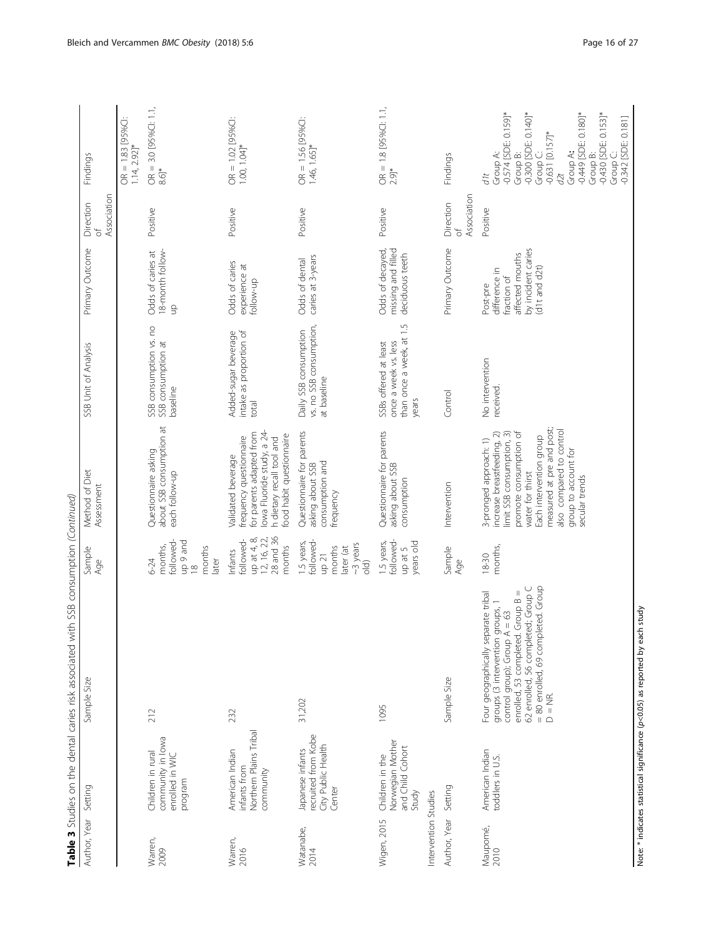|                      |                                                                         | Table 3 Studies on the dental caries risk associated with SSB consumption (Continued)                                                                                                                                                  |                                                                                             |                                                                                                                                                                                                                                                               |                                                                                    |                                                                                                   |                                      |                                                                                                                                                                                                                                          |
|----------------------|-------------------------------------------------------------------------|----------------------------------------------------------------------------------------------------------------------------------------------------------------------------------------------------------------------------------------|---------------------------------------------------------------------------------------------|---------------------------------------------------------------------------------------------------------------------------------------------------------------------------------------------------------------------------------------------------------------|------------------------------------------------------------------------------------|---------------------------------------------------------------------------------------------------|--------------------------------------|------------------------------------------------------------------------------------------------------------------------------------------------------------------------------------------------------------------------------------------|
| Author, Year Setting |                                                                         | Sample Size                                                                                                                                                                                                                            | Sample<br>Age                                                                               | Method of Diet<br>Assessment                                                                                                                                                                                                                                  | SSB Unit of Analysis                                                               | Primary Outcome                                                                                   | Direction<br>ď                       | Findings                                                                                                                                                                                                                                 |
|                      |                                                                         |                                                                                                                                                                                                                                        |                                                                                             |                                                                                                                                                                                                                                                               |                                                                                    |                                                                                                   | Association                          |                                                                                                                                                                                                                                          |
|                      |                                                                         |                                                                                                                                                                                                                                        |                                                                                             |                                                                                                                                                                                                                                                               |                                                                                    |                                                                                                   |                                      | $OR = 1.83$ [95%C]:<br>$1.14, 2.92$ <sup>*</sup>                                                                                                                                                                                         |
| Warren,<br>2009      | community in lowa<br>Children in rural<br>enrolled in WIC<br>program    | 212                                                                                                                                                                                                                                    | up 9 and<br>18<br>followed<br>months,<br>months<br>later<br>6-24                            | about SSB consumption at<br>Questionnaire asking<br>each follow-up                                                                                                                                                                                            | SSB consumption vs. no<br>SSB consumption at<br>baseline                           | 18-month follow-<br>Odds of caries at<br>$\frac{\Omega}{\Omega}$                                  | Positive                             | $OR = 3.0$ [95%Cl: 1.1,<br>$8.6$ <sup>*</sup>                                                                                                                                                                                            |
| Warren,<br>2016      | Northern Plains Tribal<br>American Indian<br>infants from<br>community  | 232                                                                                                                                                                                                                                    | 28 and 36<br>up at 4, 8,<br>12, 16, 22,<br>followed-<br>months<br>Infants                   | lowa Fluoride study, a 24-<br>for parents adapted from<br>ood habit questionnaire<br>frequency questionnaire<br>h dietary recall tool and<br>Validated beverage                                                                                               | Added-sugar beverage<br>intake as proportion of<br>total                           | Odds of caries<br>experience at<br>follow-up                                                      | Positive                             | $OR = 1.02$ [95%C]:<br>$1.00, 1.04$ <sup>*</sup>                                                                                                                                                                                         |
| Watanabe,<br>2014    | recruited from Kobe<br>City Public Health<br>Japanese infants<br>Center | 31,202                                                                                                                                                                                                                                 | followed-<br>1.5 years,<br>~3 years<br>months<br>later (at<br>up 21<br>$\frac{1}{\sqrt{2}}$ | Questionnaire for parents<br>consumption and<br>asking about SSB<br>frequency                                                                                                                                                                                 | vs. no SSB consumption,<br>Daily SSB consumption<br>at baseline                    | caries at 3-years<br>Odds of dental                                                               | Positive                             | $OR = 1.56 [95%C1$<br>1.46, 1.65]*                                                                                                                                                                                                       |
| Wigen, 2015          | Norwegian Mother<br>and Child Cohort<br>Children in the<br>Study        | 1095                                                                                                                                                                                                                                   | followed-<br>1.5 years,<br>years old<br>up at 5                                             | Questionnaire for parents<br>asking about SSB<br>consumption                                                                                                                                                                                                  | than once a week, at 1.5<br>once a week vs. less<br>SSBs offered at least<br>years | Odds of decayed,<br>missing and filled<br>deciduous teeth                                         | Positive                             | $OR = 1.8$ [95%CI: 1.1,<br>$2.9$ ]*                                                                                                                                                                                                      |
| Intervention Studies |                                                                         |                                                                                                                                                                                                                                        |                                                                                             |                                                                                                                                                                                                                                                               |                                                                                    |                                                                                                   |                                      |                                                                                                                                                                                                                                          |
| Author, Year         | Setting                                                                 | Sample Size                                                                                                                                                                                                                            | Sample<br>Age                                                                               | Intervention                                                                                                                                                                                                                                                  | Control                                                                            | Primary Outcome                                                                                   | Association<br>Direction<br>$\sigma$ | Findings                                                                                                                                                                                                                                 |
| Maupomé,<br>2010     | American Indian<br>toddlers in U.S.                                     | = 80 enrolled, 69 completed. Group<br>62 enrolled, 56 completed; Group C<br>enrolled, 53 completed. Group B =<br>Four geographically separate tribal<br>groups (3 intervention groups, 1<br>control group); Group $A = 63$<br>$D = NR$ | months,<br>$18 - 30$                                                                        | measured at pre and post;<br>also compared to control<br>promote consumption of<br>increase breastfeeding, 2)<br>limit SSB consumption, 3)<br>Each intervention group<br>3-pronged approach: 1)<br>group to account for<br>water for thirst<br>secular trends | No intervention<br>received                                                        | by incident caries<br>affected mouths<br>d1t and d2t)<br>difference in<br>fraction of<br>Post-pre | Positive                             | $-0.574$ [SDE: 0.159]*<br>-0.300 [SDE: 0.140]*<br>$-0.449$ [SDE: 0.180]*<br>$-0.430$ [SDE: 0.153]*<br>Group C:<br>-0.342 [SDE: 0.181]<br>$-0.631$ [0.157]*<br>Group C:<br>Group A:<br>Group A:<br>Group B:<br>Group B:<br>$\beta$<br>dlt |

Note: \* indicates statistical significance (p<0.05) as reported by each study Note: \* indicates statistical significance (p<0.05) as reported by each study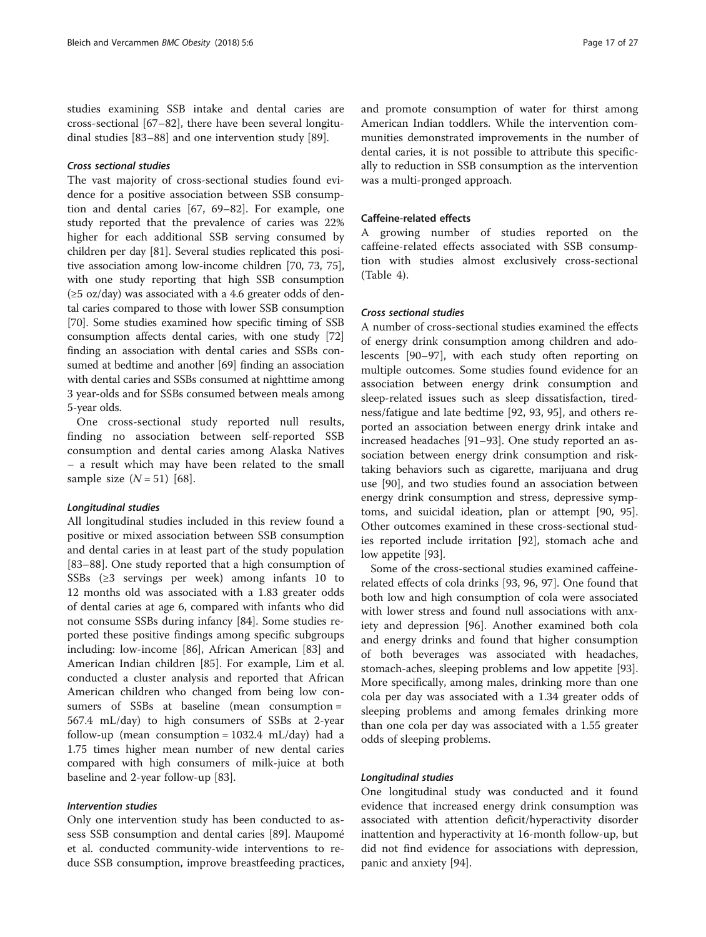studies examining SSB intake and dental caries are cross-sectional [[67](#page-25-0)–[82](#page-25-0)], there have been several longitudinal studies [\[83](#page-25-0)–[88\]](#page-26-0) and one intervention study [[89](#page-26-0)].

# Cross sectional studies

The vast majority of cross-sectional studies found evidence for a positive association between SSB consumption and dental caries [\[67, 69](#page-25-0)–[82](#page-25-0)]. For example, one study reported that the prevalence of caries was 22% higher for each additional SSB serving consumed by children per day [\[81](#page-25-0)]. Several studies replicated this positive association among low-income children [[70](#page-25-0), [73, 75](#page-25-0)], with one study reporting that high SSB consumption  $(\geq 5 \text{ oz/day})$  was associated with a 4.6 greater odds of dental caries compared to those with lower SSB consumption [[70](#page-25-0)]. Some studies examined how specific timing of SSB consumption affects dental caries, with one study [[72](#page-25-0)] finding an association with dental caries and SSBs consumed at bedtime and another [\[69\]](#page-25-0) finding an association with dental caries and SSBs consumed at nighttime among 3 year-olds and for SSBs consumed between meals among 5-year olds.

One cross-sectional study reported null results, finding no association between self-reported SSB consumption and dental caries among Alaska Natives – a result which may have been related to the small sample size  $(N = 51)$  [[68\]](#page-25-0).

#### Longitudinal studies

All longitudinal studies included in this review found a positive or mixed association between SSB consumption and dental caries in at least part of the study population [[83](#page-25-0)–[88](#page-26-0)]. One study reported that a high consumption of SSBs (≥3 servings per week) among infants 10 to 12 months old was associated with a 1.83 greater odds of dental caries at age 6, compared with infants who did not consume SSBs during infancy [[84\]](#page-25-0). Some studies reported these positive findings among specific subgroups including: low-income [[86\]](#page-26-0), African American [\[83](#page-25-0)] and American Indian children [[85\]](#page-26-0). For example, Lim et al. conducted a cluster analysis and reported that African American children who changed from being low consumers of SSBs at baseline (mean consumption = 567.4 mL/day) to high consumers of SSBs at 2-year follow-up (mean consumption =  $1032.4$  mL/day) had a 1.75 times higher mean number of new dental caries compared with high consumers of milk-juice at both baseline and 2-year follow-up [[83\]](#page-25-0).

# Intervention studies

Only one intervention study has been conducted to assess SSB consumption and dental caries [\[89\]](#page-26-0). Maupo[mé](https://en.wiktionary.org/wiki/%C3%A9) et al. conducted community-wide interventions to reduce SSB consumption, improve breastfeeding practices, and promote consumption of water for thirst among American Indian toddlers. While the intervention communities demonstrated improvements in the number of dental caries, it is not possible to attribute this specifically to reduction in SSB consumption as the intervention was a multi-pronged approach.

# Caffeine-related effects

A growing number of studies reported on the caffeine-related effects associated with SSB consumption with studies almost exclusively cross-sectional (Table [4\)](#page-17-0).

# Cross sectional studies

A number of cross-sectional studies examined the effects of energy drink consumption among children and adolescents [[90](#page-26-0)–[97](#page-26-0)], with each study often reporting on multiple outcomes. Some studies found evidence for an association between energy drink consumption and sleep-related issues such as sleep dissatisfaction, tiredness/fatigue and late bedtime [\[92](#page-26-0), [93](#page-26-0), [95\]](#page-26-0), and others reported an association between energy drink intake and increased headaches [[91](#page-26-0)–[93](#page-26-0)]. One study reported an association between energy drink consumption and risktaking behaviors such as cigarette, marijuana and drug use [\[90](#page-26-0)], and two studies found an association between energy drink consumption and stress, depressive symptoms, and suicidal ideation, plan or attempt [\[90, 95](#page-26-0)]. Other outcomes examined in these cross-sectional studies reported include irritation [\[92\]](#page-26-0), stomach ache and low appetite [[93\]](#page-26-0).

Some of the cross-sectional studies examined caffeinerelated effects of cola drinks [[93, 96, 97\]](#page-26-0). One found that both low and high consumption of cola were associated with lower stress and found null associations with anxiety and depression [\[96](#page-26-0)]. Another examined both cola and energy drinks and found that higher consumption of both beverages was associated with headaches, stomach-aches, sleeping problems and low appetite [\[93](#page-26-0)]. More specifically, among males, drinking more than one cola per day was associated with a 1.34 greater odds of sleeping problems and among females drinking more than one cola per day was associated with a 1.55 greater odds of sleeping problems.

#### Longitudinal studies

One longitudinal study was conducted and it found evidence that increased energy drink consumption was associated with attention deficit/hyperactivity disorder inattention and hyperactivity at 16-month follow-up, but did not find evidence for associations with depression, panic and anxiety [[94\]](#page-26-0).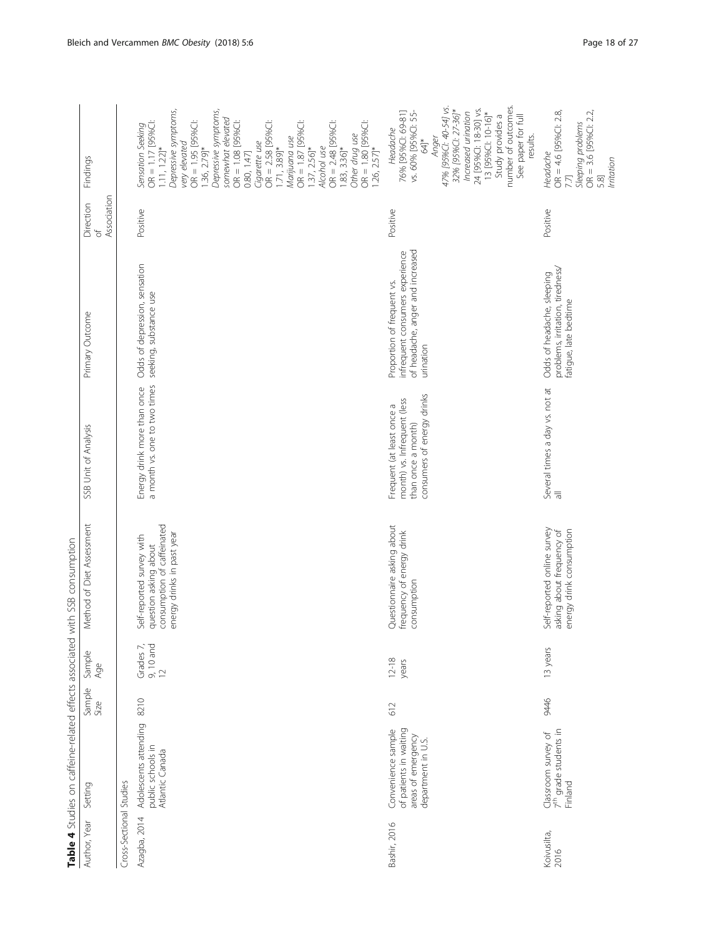<span id="page-17-0"></span>

|                         |                                                                                          |                |                                  | Table 4 Studies on caffeine-related effects associated with SSB consumption                                    |                                                                                                              |                                                                                                                |                                      |                                                                                                                                                                                                                                                                                                                                                                                                                                                                                                                        |
|-------------------------|------------------------------------------------------------------------------------------|----------------|----------------------------------|----------------------------------------------------------------------------------------------------------------|--------------------------------------------------------------------------------------------------------------|----------------------------------------------------------------------------------------------------------------|--------------------------------------|------------------------------------------------------------------------------------------------------------------------------------------------------------------------------------------------------------------------------------------------------------------------------------------------------------------------------------------------------------------------------------------------------------------------------------------------------------------------------------------------------------------------|
| Author, Year            | Setting                                                                                  | Sample<br>Size | Sample<br>Age                    | Method of Diet Assessment                                                                                      | SSB Unit of Analysis                                                                                         | Primary Outcome                                                                                                | Association<br>Direction<br>$\sigma$ | Findings                                                                                                                                                                                                                                                                                                                                                                                                                                                                                                               |
| Cross-Sectional Studies |                                                                                          |                |                                  |                                                                                                                |                                                                                                              |                                                                                                                |                                      |                                                                                                                                                                                                                                                                                                                                                                                                                                                                                                                        |
| Azagba, 2014            | Adolescents attending<br>public schools in<br>Atlantic Canada                            | 8210           | Grades 7,<br>$9, 10$ and<br>$12$ | consumption of caffeinated<br>energy drinks in past year<br>Self-reported survey with<br>question asking about | a month vs. one to two times<br>Energy drink more than once                                                  | Odds of depression, sensation<br>seeking, substance use                                                        | Positive                             | Depressive symptoms,<br>Depressive symptoms,<br>somewhat elevated<br>OR = 1.08 [95%C]:<br>$OR = 1.87$ [95%C]:<br>$OR = 2.48$ [95%C]:<br>$OR = 1.17 [95%C1$<br>OR = 1.95 [95%C]:<br>$OR = 2.58$ [95%C]:<br>$OR = 1.80$ [95%C]:<br>Sensation Seeking<br>Other drug use<br>Marijuana use<br>Cigarette use<br>very elevated<br>$1.11, 1.22$ <sup>*</sup><br>Alcohol use<br>$1.36, 2.79$ <sup>*</sup><br>$1.83, 3.36$ <sup>*</sup><br>1.71, 3.89]*<br>$1.37, 2.56$ <sup>*</sup><br>$1.26, 2.57$ <sup>*</sup><br>0.80, 1.47] |
| Bashir, 2016            | of patients in waiting<br>Convenience sample<br>areas of emergency<br>department in U.S. | 612            | $12 - 18$<br>years               | Questionnaire asking about<br>frequency of energy drink<br>consumption                                         | consumers of energy drinks<br>month) vs. Infrequent (less<br>Frequent (at least once a<br>than once a month) | of headache, anger and increased<br>infrequent consumers experience<br>Proportion of frequent vs.<br>urination | Positive                             | number of outcomes.<br>47% [95%Cl: 40-54] vs.<br>24 [95%CI: 18-30] vs.<br>32% [95%Cl: 27-36]*<br>76% [95%CI: 69-81]<br>Increased urination<br>13 [95%Cl: 10-16]*<br>vs. 60% [95%Cl: 55-<br>See paper for full<br>Study provides a<br>Headache<br>results.<br>Anger<br>$\frac{4}{3}$                                                                                                                                                                                                                                    |
| Koivusilta,<br>2016     | 7 <sup>th</sup> grade students in<br>Classroom survey of<br>Finland                      | 9446           | 13 years                         | Self-reported online survey<br>energy drink consumption<br>asking about frequency of                           | Several times a day vs. not at                                                                               | problems, irritation, tiredness/<br>Odds of headache, sleeping<br>fatigue, late bedtime                        | Positive                             | $OR = 4.6$ [95%CI: 2.8,<br>$OR = 3.6$ [95%C]: 2.2<br>Sleeping problems<br>Headache<br>Irritation<br>7.7]<br>5.8]                                                                                                                                                                                                                                                                                                                                                                                                       |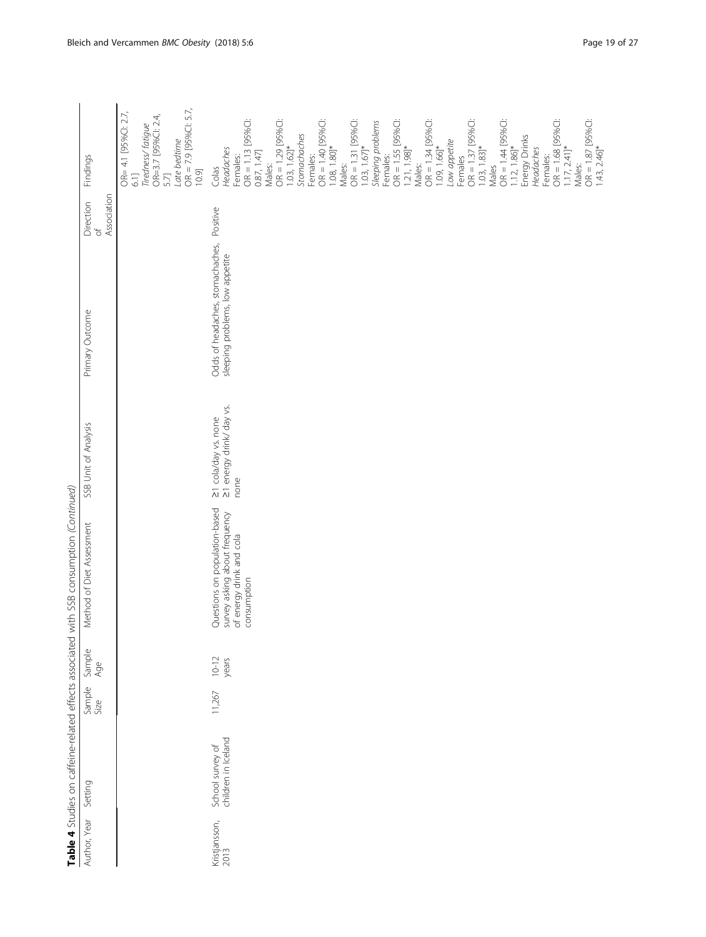| $\begin{bmatrix} 1 & 0 & 0 \\ 0 & 0 & 0 \\ 0 & 0 & 0 \\ 0 & 0 & 0 \\ 0 & 0 & 0 \\ 0 & 0 & 0 \\ 0 & 0 & 0 \\ 0 & 0 & 0 & 0 \\ 0 & 0 & 0 & 0 \\ 0 & 0 & 0 & 0 \\ 0 & 0 & 0 & 0 & 0 \\ 0 & 0 & 0 & 0 & 0 \\ 0 & 0 & 0 & 0 & 0 \\ 0 & 0 & 0 & 0 & 0 & 0 \\ 0 & 0 & 0 & 0 & 0 & 0 \\ 0 & 0 & 0 & 0 & 0 & 0 \\ 0 & 0 & 0 & 0 & 0 & $ |  |
|--------------------------------------------------------------------------------------------------------------------------------------------------------------------------------------------------------------------------------------------------------------------------------------------------------------------------------|--|
|                                                                                                                                                                                                                                                                                                                                |  |
|                                                                                                                                                                                                                                                                                                                                |  |
|                                                                                                                                                                                                                                                                                                                                |  |
| I                                                                                                                                                                                                                                                                                                                              |  |
|                                                                                                                                                                                                                                                                                                                                |  |
|                                                                                                                                                                                                                                                                                                                                |  |
|                                                                                                                                                                                                                                                                                                                                |  |
|                                                                                                                                                                                                                                                                                                                                |  |
|                                                                                                                                                                                                                                                                                                                                |  |
|                                                                                                                                                                                                                                                                                                                                |  |
| $\ddot{\phantom{a}}$                                                                                                                                                                                                                                                                                                           |  |
|                                                                                                                                                                                                                                                                                                                                |  |
|                                                                                                                                                                                                                                                                                                                                |  |
|                                                                                                                                                                                                                                                                                                                                |  |
|                                                                                                                                                                                                                                                                                                                                |  |
| I                                                                                                                                                                                                                                                                                                                              |  |
| j                                                                                                                                                                                                                                                                                                                              |  |
|                                                                                                                                                                                                                                                                                                                                |  |
| i                                                                                                                                                                                                                                                                                                                              |  |
|                                                                                                                                                                                                                                                                                                                                |  |
|                                                                                                                                                                                                                                                                                                                                |  |
|                                                                                                                                                                                                                                                                                                                                |  |
|                                                                                                                                                                                                                                                                                                                                |  |
|                                                                                                                                                                                                                                                                                                                                |  |
|                                                                                                                                                                                                                                                                                                                                |  |
|                                                                                                                                                                                                                                                                                                                                |  |
| ֠                                                                                                                                                                                                                                                                                                                              |  |
| j<br>S                                                                                                                                                                                                                                                                                                                         |  |
|                                                                                                                                                                                                                                                                                                                                |  |
| Ï                                                                                                                                                                                                                                                                                                                              |  |
|                                                                                                                                                                                                                                                                                                                                |  |
|                                                                                                                                                                                                                                                                                                                                |  |
|                                                                                                                                                                                                                                                                                                                                |  |
|                                                                                                                                                                                                                                                                                                                                |  |
|                                                                                                                                                                                                                                                                                                                                |  |
| こういい リリー                                                                                                                                                                                                                                                                                                                       |  |
|                                                                                                                                                                                                                                                                                                                                |  |
|                                                                                                                                                                                                                                                                                                                                |  |
| i                                                                                                                                                                                                                                                                                                                              |  |
| i                                                                                                                                                                                                                                                                                                                              |  |
|                                                                                                                                                                                                                                                                                                                                |  |
|                                                                                                                                                                                                                                                                                                                                |  |
|                                                                                                                                                                                                                                                                                                                                |  |
| i                                                                                                                                                                                                                                                                                                                              |  |
|                                                                                                                                                                                                                                                                                                                                |  |
| うりりり                                                                                                                                                                                                                                                                                                                           |  |
|                                                                                                                                                                                                                                                                                                                                |  |
|                                                                                                                                                                                                                                                                                                                                |  |
|                                                                                                                                                                                                                                                                                                                                |  |
|                                                                                                                                                                                                                                                                                                                                |  |
|                                                                                                                                                                                                                                                                                                                                |  |
|                                                                                                                                                                                                                                                                                                                                |  |
|                                                                                                                                                                                                                                                                                                                                |  |
|                                                                                                                                                                                                                                                                                                                                |  |
| $\frac{1}{2}$                                                                                                                                                                                                                                                                                                                  |  |
| これよう くろく                                                                                                                                                                                                                                                                                                                       |  |
|                                                                                                                                                                                                                                                                                                                                |  |
|                                                                                                                                                                                                                                                                                                                                |  |
|                                                                                                                                                                                                                                                                                                                                |  |
|                                                                                                                                                                                                                                                                                                                                |  |
|                                                                                                                                                                                                                                                                                                                                |  |
|                                                                                                                                                                                                                                                                                                                                |  |
|                                                                                                                                                                                                                                                                                                                                |  |
|                                                                                                                                                                                                                                                                                                                                |  |
| うりりり                                                                                                                                                                                                                                                                                                                           |  |
|                                                                                                                                                                                                                                                                                                                                |  |
|                                                                                                                                                                                                                                                                                                                                |  |
|                                                                                                                                                                                                                                                                                                                                |  |
| <br> <br>                                                                                                                                                                                                                                                                                                                      |  |
|                                                                                                                                                                                                                                                                                                                                |  |
|                                                                                                                                                                                                                                                                                                                                |  |
|                                                                                                                                                                                                                                                                                                                                |  |
|                                                                                                                                                                                                                                                                                                                                |  |

|                       |                                         |                |                    | Table 4 Studies on caffeine-related effects associated with SSB consumption (Continued)                   |                                                          |                                                                     |                                      |                                                                                                                                                                                                                                                                                                                                                                                                                                                                                                                                                                                                                                                                            |
|-----------------------|-----------------------------------------|----------------|--------------------|-----------------------------------------------------------------------------------------------------------|----------------------------------------------------------|---------------------------------------------------------------------|--------------------------------------|----------------------------------------------------------------------------------------------------------------------------------------------------------------------------------------------------------------------------------------------------------------------------------------------------------------------------------------------------------------------------------------------------------------------------------------------------------------------------------------------------------------------------------------------------------------------------------------------------------------------------------------------------------------------------|
| Author, Year          | Setting                                 | Sample<br>Size | Sample<br>Age      | Method of Diet Assessment                                                                                 | SSB Unit of Analysis                                     | Primary Outcome                                                     | Association<br>Direction<br>$\sigma$ | Findings                                                                                                                                                                                                                                                                                                                                                                                                                                                                                                                                                                                                                                                                   |
|                       |                                         |                |                    |                                                                                                           |                                                          |                                                                     |                                      | $OR = 7.9$ [95%Cl: 5.7,<br>OR= 4.1 [95%CI: 2.7,<br>OR=3.7 [95%CI: 2.4,<br>Tiredness/ fatigue<br>Late bedtime<br>10.9]<br>5.7]<br>$6.1$ ]                                                                                                                                                                                                                                                                                                                                                                                                                                                                                                                                   |
| Kristjansson,<br>2013 | children in Iceland<br>School survey of | 11,267         | $10 - 12$<br>years | Questions on population-based<br>survey asking about frequency<br>of energy drink and cola<br>consumption | 21 energy drink/ day vs.<br>21 cola/day vs. none<br>none | Odds of headaches, stomachaches,<br>sleeping problems, low appetite | Positive                             | $OR = 1.13$ [95%Cl:<br>0.87, 1.47]<br>OR = 1.29 [95%CI:<br>OR = 1.40 [95%C]:<br>$OR = 1.31 [95%C1]$<br>$OR = 1.55$ [95%C]:<br>$OR = 1.34 [95%C1]$<br>$OR = 1.37$ [95%C]:<br>OR = 1.44 [95%CI:<br>$OR = 1.68$ [95%C]:<br>$OR = 1.87$ [95%C]:<br>Sleeping problems<br>Females:<br>Stomachaches<br>Energy Drinks<br>Low appetite<br>$1.21, 1.98$ <sup>*</sup><br>$1.03, 1.83$ <sup>*</sup><br>$1.17, 2.41$ <sup>*</sup><br>$1.03, 1.62$ <sup>*</sup><br>1.03, 1.67<br>1.09, 1.66<br>$1.12, 1.86$ <sup>*</sup><br>Headaches<br>$1.08, 1.80$ <sup>*</sup><br>Headaches<br>Females:<br>Females:<br>Females:<br>Females<br>Males:<br>Males:<br>Males:<br>Males:<br>Males<br>Colas |
|                       |                                         |                |                    |                                                                                                           |                                                          |                                                                     |                                      | $1.43, 2.46$ <sup>*</sup>                                                                                                                                                                                                                                                                                                                                                                                                                                                                                                                                                                                                                                                  |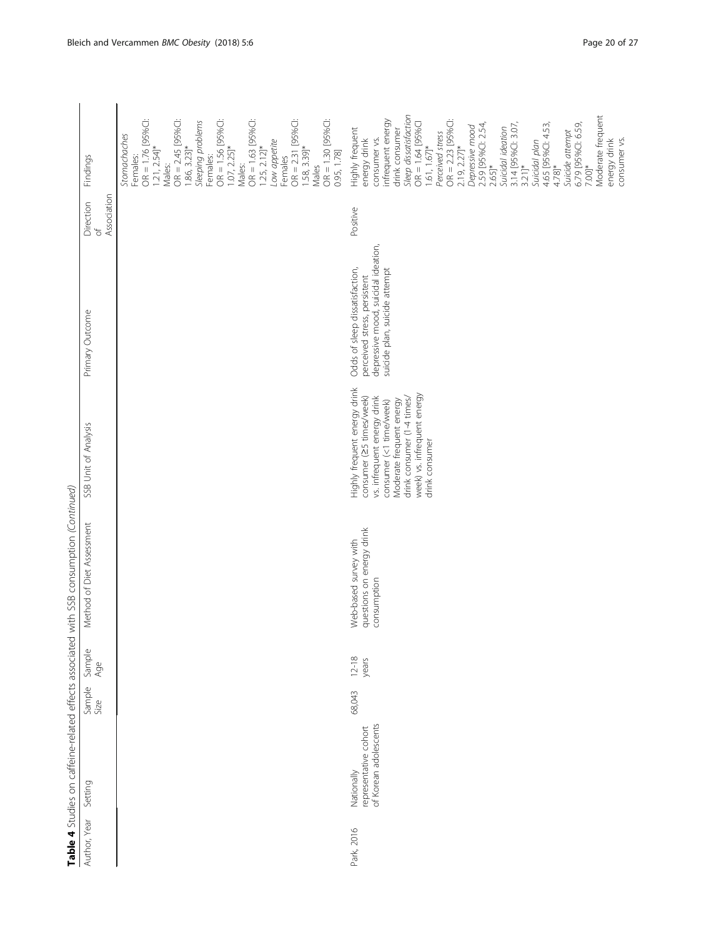|              | Table 4 Studies on caffeine-related effects associated       |                |                  | with SSB consumption (Continued)                                  |                                                                                                                                                                                                                               |                                                                                                                                        |                         |                                                                                                                                                                                                                                                                                                                                                                                                                                                                                                                          |
|--------------|--------------------------------------------------------------|----------------|------------------|-------------------------------------------------------------------|-------------------------------------------------------------------------------------------------------------------------------------------------------------------------------------------------------------------------------|----------------------------------------------------------------------------------------------------------------------------------------|-------------------------|--------------------------------------------------------------------------------------------------------------------------------------------------------------------------------------------------------------------------------------------------------------------------------------------------------------------------------------------------------------------------------------------------------------------------------------------------------------------------------------------------------------------------|
| Author, Year | Setting                                                      | Sample<br>Size | Sample<br>Age    | Method of Diet Assessment                                         | SSB Unit of Analysis                                                                                                                                                                                                          | Primary Outcome                                                                                                                        | Direction<br>$\sqrt{2}$ | Findings                                                                                                                                                                                                                                                                                                                                                                                                                                                                                                                 |
|              |                                                              |                |                  |                                                                   |                                                                                                                                                                                                                               |                                                                                                                                        | Association             |                                                                                                                                                                                                                                                                                                                                                                                                                                                                                                                          |
|              |                                                              |                |                  |                                                                   |                                                                                                                                                                                                                               |                                                                                                                                        |                         | OR = 1.76 [95%C]:<br>$OR = 2.45$ [95%C]:<br>$OR = 2.31$ [95%C]:<br>$OR = 1.56 [95%C1$<br>$OR = 1.30 [95%C1$<br>$OR = 1.63$ [95%C]:<br>Sleeping problems<br>Stomachaches<br>Low appetite<br>$1.25, 2.12$ <sup>*</sup><br>$1.86, 3.23$ <sup>*</sup><br>$1.21, 2.54$ <sup>*</sup><br>1.58, 3.39]*<br>$1.07, 2.25$ <sup>*</sup><br>0.95, 1.78]<br>Females:<br>Females:<br>Females<br>Males:<br>Males:<br>Males                                                                                                               |
| Park, 2016   | of Korean adolescents<br>representative cohort<br>Nationally | 68,043         | $12-18$<br>years | questions on energy drink<br>Web-based survey with<br>consumption | Highly frequent energy drink<br>week) vs. infrequent energy<br>consumer (25 times/week)<br>drink consumer (1-4 times/<br>vs. infrequent energy drink<br>Moderate frequent energy<br>consumer (<1 time/week)<br>drink consumer | depressive mood, suicidal ideation,<br>Odds of sleep dissatisfaction,<br>suicide plan, suicide attempt<br>perceived stress, persistent | Positive                | Sleep dissatisfaction<br>Moderate frequent<br>nfrequent energy<br>$OR = 2.23 [95%C1]$<br>$OR = 1.64$ [95%C]<br>3.14 [95%CI: 3.07,<br>2.59 [95%C]: 2.54,<br>6.79 [95%C]: 6.59,<br>4.65 [95%CI: 4.53,<br>Depressive mood<br>Suicidal ideation<br>Highly frequent<br>drink consumer<br>Suicide attempt<br>Perceived stress<br>consumer vs.<br>consumer vs.<br>energy drink<br>Suicidal plan<br>energy drink<br>1.61, 1.67<br>$2.19, 2.27$ <sup>*</sup><br>$3.21$ <sup>*</sup><br>$7.00]$ *<br>2.65]*<br>$4.78$ <sup>*</sup> |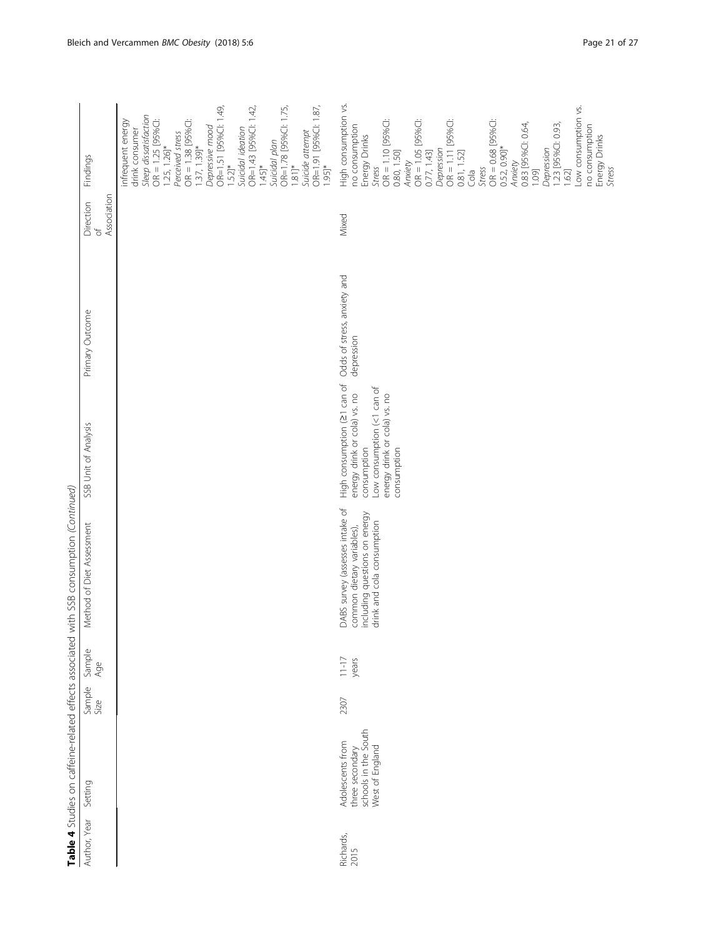| $\ddot{\phantom{a}}$                                                                                                                |
|-------------------------------------------------------------------------------------------------------------------------------------|
| I                                                                                                                                   |
|                                                                                                                                     |
|                                                                                                                                     |
|                                                                                                                                     |
|                                                                                                                                     |
|                                                                                                                                     |
|                                                                                                                                     |
|                                                                                                                                     |
|                                                                                                                                     |
|                                                                                                                                     |
|                                                                                                                                     |
|                                                                                                                                     |
|                                                                                                                                     |
| くく                                                                                                                                  |
|                                                                                                                                     |
| $\frac{1}{2}$                                                                                                                       |
|                                                                                                                                     |
|                                                                                                                                     |
|                                                                                                                                     |
|                                                                                                                                     |
| シニ・シリンソリー                                                                                                                           |
|                                                                                                                                     |
|                                                                                                                                     |
|                                                                                                                                     |
|                                                                                                                                     |
|                                                                                                                                     |
|                                                                                                                                     |
| )<br>}<br>}                                                                                                                         |
| $\frac{1}{1}$                                                                                                                       |
|                                                                                                                                     |
|                                                                                                                                     |
| ・リーニ                                                                                                                                |
|                                                                                                                                     |
|                                                                                                                                     |
|                                                                                                                                     |
|                                                                                                                                     |
|                                                                                                                                     |
|                                                                                                                                     |
|                                                                                                                                     |
| ľ                                                                                                                                   |
| Ī                                                                                                                                   |
|                                                                                                                                     |
|                                                                                                                                     |
|                                                                                                                                     |
|                                                                                                                                     |
|                                                                                                                                     |
| -<br>-<br>-<br>-<br>-<br>-<br>-<br><br>-<br><br><br><br><br><br><br><br><br><br><br><br><br><br><br><br><br><br><br><br>:<br>3<br>. |
|                                                                                                                                     |
|                                                                                                                                     |
| )<br>}                                                                                                                              |
|                                                                                                                                     |
|                                                                                                                                     |
|                                                                                                                                     |
|                                                                                                                                     |
|                                                                                                                                     |
|                                                                                                                                     |
|                                                                                                                                     |
| ジョンソート リミュラー                                                                                                                        |
|                                                                                                                                     |
|                                                                                                                                     |
|                                                                                                                                     |
|                                                                                                                                     |
|                                                                                                                                     |

|                   |                                                                                |                |                   | Table 4 Studies on caffeine-related effects associated with SSB consumption (Continued)                                      |                                                                                                                                                         |                                           |                 |                                                                                                                                                                                                                                                                                                                                                                                                                                               |
|-------------------|--------------------------------------------------------------------------------|----------------|-------------------|------------------------------------------------------------------------------------------------------------------------------|---------------------------------------------------------------------------------------------------------------------------------------------------------|-------------------------------------------|-----------------|-----------------------------------------------------------------------------------------------------------------------------------------------------------------------------------------------------------------------------------------------------------------------------------------------------------------------------------------------------------------------------------------------------------------------------------------------|
| Author, Year      | Setting                                                                        | Sample<br>Size | Sample<br>Age     | Method of Diet Assessment                                                                                                    | SSB Unit of Analysis                                                                                                                                    | Primary Outcome                           | Direction<br>of | Findings                                                                                                                                                                                                                                                                                                                                                                                                                                      |
|                   |                                                                                |                |                   |                                                                                                                              |                                                                                                                                                         |                                           | Association     |                                                                                                                                                                                                                                                                                                                                                                                                                                               |
|                   |                                                                                |                |                   |                                                                                                                              |                                                                                                                                                         |                                           |                 | OR=1.91 [95%CI: 1.87,<br>OR=1.51 [95%CI: 1.49,<br>OR=1.43 [95%CI: 1.42,<br>OR=1.78 [95%CI: 1.75,<br>Sleep dissatisfaction<br>$OR = 1.38$ [95%C]:<br>$OR = 1.25$ [95%C]:<br>infrequent energy<br>Depressive mood<br>Suicidal ideation<br>drink consumer<br>Suicide attempt<br>Perceived stress<br>Suicidal plan<br>$1.25, 1.26$ <sup>*</sup><br>1.37, 1.39]*<br>$1.81]$ *<br>$1.45$ <sup>*</sup><br>$1.52$ <sup>*</sup><br>$1.95$ <sup>*</sup> |
| Richards,<br>2015 | schools in the South<br>West of England<br>Adolescents from<br>three secondary | 2307           | $1 - 17$<br>years | DABS survey (assesses intake of<br>including questions on energy<br>drink and cola consumption<br>common dietary variables), | High consumption (21 can of<br>Low consumption (<1 can of<br>energy drink or cola) vs. no<br>energy drink or cola) vs. no<br>consumption<br>consumption | Odds of stress, anxiety and<br>depression | Mixed           | High consumption vs.<br>Low consumption vs.<br>$OR = 1.05$ [95%C]:<br>0.77, 1.43]<br>$OR = 0.68$ [95%C]:<br>OR = 1.10 [95%C]:<br>$OR = 1.11$ [95%C]:<br>0.83 [95%CI: 0.64,<br>1.23 [95%CI: 0.93,<br>no consumption<br>no consumption<br>Energy Drinks<br>Energy Drinks<br>Stress<br>0.52, 0.90]*<br>Depression<br>Depression<br>0.80, 1.50]<br>0.81, 1.52]<br>Anxiety<br>Anxiety<br><b>Stress</b><br>Stress<br>Gla<br>1.62]<br>1.09]          |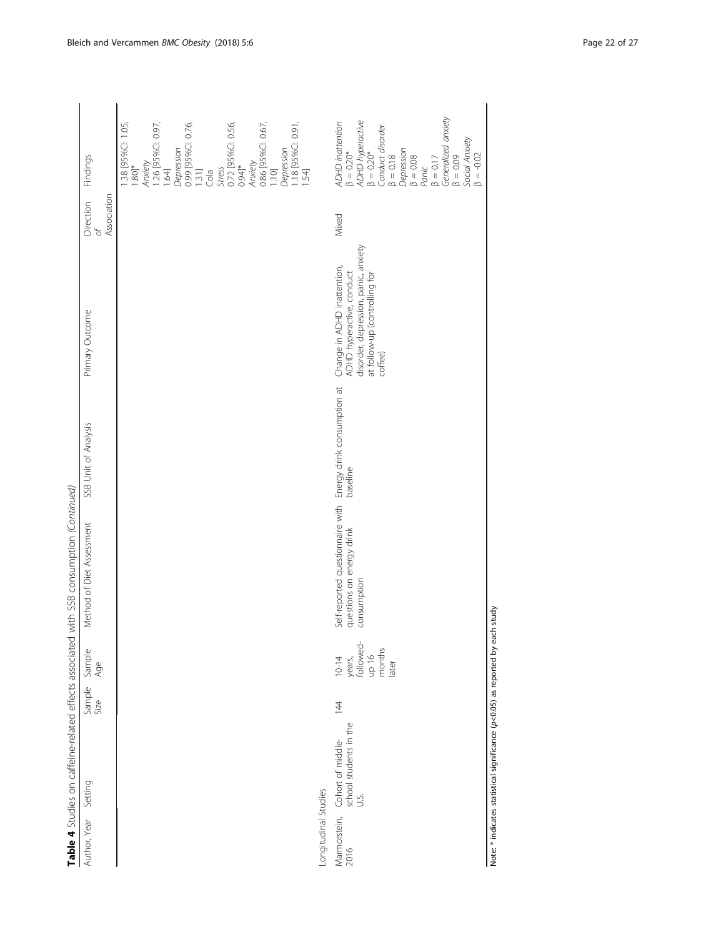| $\begin{bmatrix} 1 & 0 & 0 \\ 0 & 0 & 0 \\ 0 & 0 & 0 \\ 0 & 0 & 0 \\ 0 & 0 & 0 \\ 0 & 0 & 0 \\ 0 & 0 & 0 \\ 0 & 0 & 0 & 0 \\ 0 & 0 & 0 & 0 \\ 0 & 0 & 0 & 0 \\ 0 & 0 & 0 & 0 & 0 \\ 0 & 0 & 0 & 0 & 0 \\ 0 & 0 & 0 & 0 & 0 \\ 0 & 0 & 0 & 0 & 0 & 0 \\ 0 & 0 & 0 & 0 & 0 & 0 \\ 0 & 0 & 0 & 0 & 0 & 0 \\ 0 & 0 & 0 & 0 & 0 & $ |
|--------------------------------------------------------------------------------------------------------------------------------------------------------------------------------------------------------------------------------------------------------------------------------------------------------------------------------|
|                                                                                                                                                                                                                                                                                                                                |
|                                                                                                                                                                                                                                                                                                                                |
| ί                                                                                                                                                                                                                                                                                                                              |
|                                                                                                                                                                                                                                                                                                                                |
|                                                                                                                                                                                                                                                                                                                                |
|                                                                                                                                                                                                                                                                                                                                |
|                                                                                                                                                                                                                                                                                                                                |
|                                                                                                                                                                                                                                                                                                                                |
|                                                                                                                                                                                                                                                                                                                                |
|                                                                                                                                                                                                                                                                                                                                |
| ֖֖֖֖֖֖֖֖֖֖֧֚֚֚֚֚֚֚֚֚֚֚֚֚֚֚֚֬ <u>֚</u>                                                                                                                                                                                                                                                                                          |
|                                                                                                                                                                                                                                                                                                                                |
|                                                                                                                                                                                                                                                                                                                                |
|                                                                                                                                                                                                                                                                                                                                |
| I<br>l                                                                                                                                                                                                                                                                                                                         |
| j                                                                                                                                                                                                                                                                                                                              |
|                                                                                                                                                                                                                                                                                                                                |
| ı                                                                                                                                                                                                                                                                                                                              |
| i                                                                                                                                                                                                                                                                                                                              |
|                                                                                                                                                                                                                                                                                                                                |
|                                                                                                                                                                                                                                                                                                                                |
|                                                                                                                                                                                                                                                                                                                                |
|                                                                                                                                                                                                                                                                                                                                |
| $\ddot{\phantom{a}}$                                                                                                                                                                                                                                                                                                           |
|                                                                                                                                                                                                                                                                                                                                |
| i                                                                                                                                                                                                                                                                                                                              |
|                                                                                                                                                                                                                                                                                                                                |
| )<br>5                                                                                                                                                                                                                                                                                                                         |
| I                                                                                                                                                                                                                                                                                                                              |
| Ï                                                                                                                                                                                                                                                                                                                              |
|                                                                                                                                                                                                                                                                                                                                |
|                                                                                                                                                                                                                                                                                                                                |
| į                                                                                                                                                                                                                                                                                                                              |
|                                                                                                                                                                                                                                                                                                                                |
|                                                                                                                                                                                                                                                                                                                                |
|                                                                                                                                                                                                                                                                                                                                |
|                                                                                                                                                                                                                                                                                                                                |
| i                                                                                                                                                                                                                                                                                                                              |
|                                                                                                                                                                                                                                                                                                                                |
|                                                                                                                                                                                                                                                                                                                                |
|                                                                                                                                                                                                                                                                                                                                |
|                                                                                                                                                                                                                                                                                                                                |
| i                                                                                                                                                                                                                                                                                                                              |
|                                                                                                                                                                                                                                                                                                                                |
| ジリハリ ハリニリ リンジ                                                                                                                                                                                                                                                                                                                  |
|                                                                                                                                                                                                                                                                                                                                |
|                                                                                                                                                                                                                                                                                                                                |
|                                                                                                                                                                                                                                                                                                                                |
|                                                                                                                                                                                                                                                                                                                                |
| $\frac{1}{2}$                                                                                                                                                                                                                                                                                                                  |
|                                                                                                                                                                                                                                                                                                                                |
| $\vdots$                                                                                                                                                                                                                                                                                                                       |
|                                                                                                                                                                                                                                                                                                                                |
|                                                                                                                                                                                                                                                                                                                                |
| これよう                                                                                                                                                                                                                                                                                                                           |
|                                                                                                                                                                                                                                                                                                                                |
|                                                                                                                                                                                                                                                                                                                                |
| َ م                                                                                                                                                                                                                                                                                                                            |
|                                                                                                                                                                                                                                                                                                                                |
|                                                                                                                                                                                                                                                                                                                                |
|                                                                                                                                                                                                                                                                                                                                |
|                                                                                                                                                                                                                                                                                                                                |
|                                                                                                                                                                                                                                                                                                                                |
| りりりりり                                                                                                                                                                                                                                                                                                                          |
|                                                                                                                                                                                                                                                                                                                                |
|                                                                                                                                                                                                                                                                                                                                |
| j                                                                                                                                                                                                                                                                                                                              |
| $\vdots$                                                                                                                                                                                                                                                                                                                       |
|                                                                                                                                                                                                                                                                                                                                |
|                                                                                                                                                                                                                                                                                                                                |
|                                                                                                                                                                                                                                                                                                                                |
|                                                                                                                                                                                                                                                                                                                                |

| Table 4 Studies on caffeine-related effects associated                |                           |                                                              | with SSB consumption (Continued)                                             |                                         |                                                                                                                                              |                                                 |                                                                                                                                                                                                                                                                                           |
|-----------------------------------------------------------------------|---------------------------|--------------------------------------------------------------|------------------------------------------------------------------------------|-----------------------------------------|----------------------------------------------------------------------------------------------------------------------------------------------|-------------------------------------------------|-------------------------------------------------------------------------------------------------------------------------------------------------------------------------------------------------------------------------------------------------------------------------------------------|
| Author, Year Setting                                                  | Sample Sample<br>Size Age |                                                              | Method of Diet Assessment                                                    | SSB Unit of Analysis                    | Primary Outcome                                                                                                                              | Association<br>Direction<br>$\overline{\sigma}$ | Findings                                                                                                                                                                                                                                                                                  |
|                                                                       |                           |                                                              |                                                                              |                                         |                                                                                                                                              |                                                 | 1.26 [95%CI: 0.97,<br>0.72 [95%CI: 0.56,<br>38 [95%CI: 1.05,<br>0.99 [95%CI: 0.76,<br>0.86 [95%C]: 0.67,<br>1.18 [95%CI: 0.91]<br>Depression<br>Depression<br>Anxiety<br>Anxiety<br>$1.80$ <sup>*</sup><br>0.94]*<br><b>Stress</b><br>1.64]<br>$\frac{131}{\text{Cola}}$<br>1.10<br>1.54] |
| Longitudinal Studies                                                  |                           |                                                              |                                                                              |                                         |                                                                                                                                              |                                                 |                                                                                                                                                                                                                                                                                           |
| Marmorstein, Cohort of middle-<br>2016 school students in the<br>U.S. | $\overline{4}$            | years,<br>followed-<br>months<br>later<br>ol dh<br>$10 - 14$ | Self-reported questionnaire with<br>questions on energy drink<br>consumption | Energy drink consumption at<br>baseline | disorder, depression, panic, anxiety<br>Change in ADHD inattention,<br>ADHD hyperactive, conduct<br>at follow-up (controlling for<br>coffee) | Mixed                                           | Panic<br>β = 0.17<br>Generalized anxiety<br>ADHD hyperactive<br>β = 0.20*<br>ADHD inattention<br>Conduct disorder<br>β = 0.18<br>Depression<br>Social Anxiety<br>$\beta = 0.20*$<br>$\beta = -0.02$<br>$\beta = 0.09$<br>$\beta=0.08$                                                     |

Note: \* indicates statistical significance (p<0.05) as reported by each study Note: \* indicates statistical significance (p<0.05) as reported by each study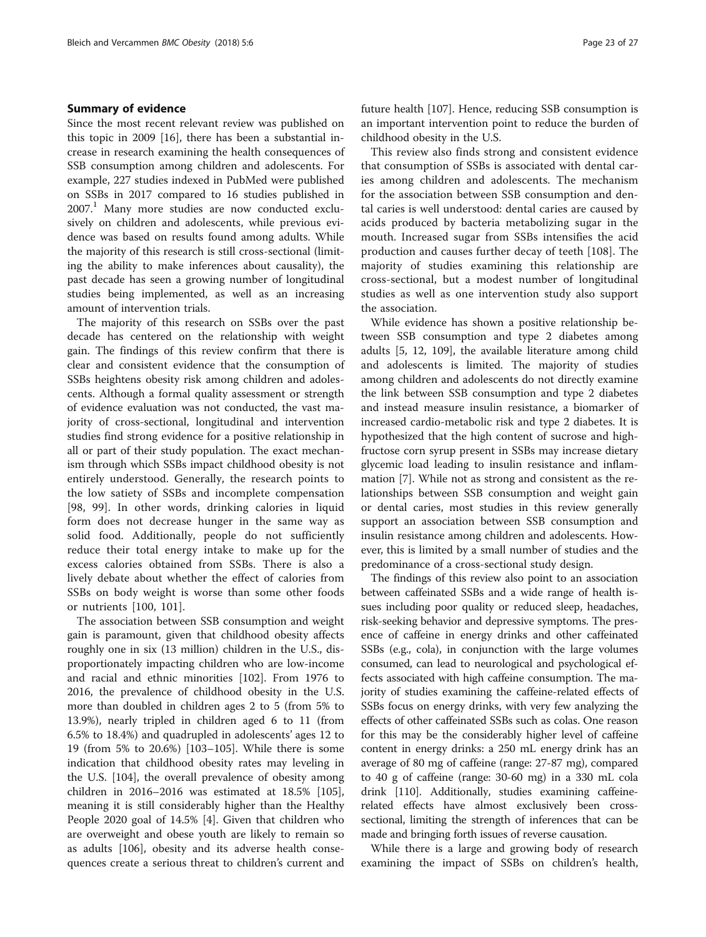# Summary of evidence

Since the most recent relevant review was published on this topic in 2009 [\[16](#page-24-0)], there has been a substantial increase in research examining the health consequences of SSB consumption among children and adolescents. For example, 227 studies indexed in PubMed were published on SSBs in 2017 compared to 16 studies published in  $2007<sup>1</sup>$  Many more studies are now conducted exclusively on children and adolescents, while previous evidence was based on results found among adults. While the majority of this research is still cross-sectional (limiting the ability to make inferences about causality), the past decade has seen a growing number of longitudinal studies being implemented, as well as an increasing amount of intervention trials.

The majority of this research on SSBs over the past decade has centered on the relationship with weight gain. The findings of this review confirm that there is clear and consistent evidence that the consumption of SSBs heightens obesity risk among children and adolescents. Although a formal quality assessment or strength of evidence evaluation was not conducted, the vast majority of cross-sectional, longitudinal and intervention studies find strong evidence for a positive relationship in all or part of their study population. The exact mechanism through which SSBs impact childhood obesity is not entirely understood. Generally, the research points to the low satiety of SSBs and incomplete compensation [[98, 99\]](#page-26-0). In other words, drinking calories in liquid form does not decrease hunger in the same way as solid food. Additionally, people do not sufficiently reduce their total energy intake to make up for the excess calories obtained from SSBs. There is also a lively debate about whether the effect of calories from SSBs on body weight is worse than some other foods or nutrients [[100, 101\]](#page-26-0).

The association between SSB consumption and weight gain is paramount, given that childhood obesity affects roughly one in six (13 million) children in the U.S., disproportionately impacting children who are low-income and racial and ethnic minorities [[102\]](#page-26-0). From 1976 to 2016, the prevalence of childhood obesity in the U.S. more than doubled in children ages 2 to 5 (from 5% to 13.9%), nearly tripled in children aged 6 to 11 (from 6.5% to 18.4%) and quadrupled in adolescents' ages 12 to 19 (from 5% to 20.6%) [\[103](#page-26-0)–[105](#page-26-0)]. While there is some indication that childhood obesity rates may leveling in the U.S. [[104](#page-26-0)], the overall prevalence of obesity among children in 2016–2016 was estimated at 18.5% [\[105](#page-26-0)], meaning it is still considerably higher than the Healthy People 2020 goal of 14.5% [\[4](#page-24-0)]. Given that children who are overweight and obese youth are likely to remain so as adults [\[106\]](#page-26-0), obesity and its adverse health consequences create a serious threat to children's current and future health [[107](#page-26-0)]. Hence, reducing SSB consumption is an important intervention point to reduce the burden of childhood obesity in the U.S.

This review also finds strong and consistent evidence that consumption of SSBs is associated with dental caries among children and adolescents. The mechanism for the association between SSB consumption and dental caries is well understood: dental caries are caused by acids produced by bacteria metabolizing sugar in the mouth. Increased sugar from SSBs intensifies the acid production and causes further decay of teeth [[108\]](#page-26-0). The majority of studies examining this relationship are cross-sectional, but a modest number of longitudinal studies as well as one intervention study also support the association.

While evidence has shown a positive relationship between SSB consumption and type 2 diabetes among adults [[5, 12,](#page-24-0) [109](#page-26-0)], the available literature among child and adolescents is limited. The majority of studies among children and adolescents do not directly examine the link between SSB consumption and type 2 diabetes and instead measure insulin resistance, a biomarker of increased cardio-metabolic risk and type 2 diabetes. It is hypothesized that the high content of sucrose and highfructose corn syrup present in SSBs may increase dietary glycemic load leading to insulin resistance and inflammation [[7\]](#page-24-0). While not as strong and consistent as the relationships between SSB consumption and weight gain or dental caries, most studies in this review generally support an association between SSB consumption and insulin resistance among children and adolescents. However, this is limited by a small number of studies and the predominance of a cross-sectional study design.

The findings of this review also point to an association between caffeinated SSBs and a wide range of health issues including poor quality or reduced sleep, headaches, risk-seeking behavior and depressive symptoms. The presence of caffeine in energy drinks and other caffeinated SSBs (e.g., cola), in conjunction with the large volumes consumed, can lead to neurological and psychological effects associated with high caffeine consumption. The majority of studies examining the caffeine-related effects of SSBs focus on energy drinks, with very few analyzing the effects of other caffeinated SSBs such as colas. One reason for this may be the considerably higher level of caffeine content in energy drinks: a 250 mL energy drink has an average of 80 mg of caffeine (range: 27-87 mg), compared to 40 g of caffeine (range: 30-60 mg) in a 330 mL cola drink [\[110\]](#page-26-0). Additionally, studies examining caffeinerelated effects have almost exclusively been crosssectional, limiting the strength of inferences that can be made and bringing forth issues of reverse causation.

While there is a large and growing body of research examining the impact of SSBs on children's health,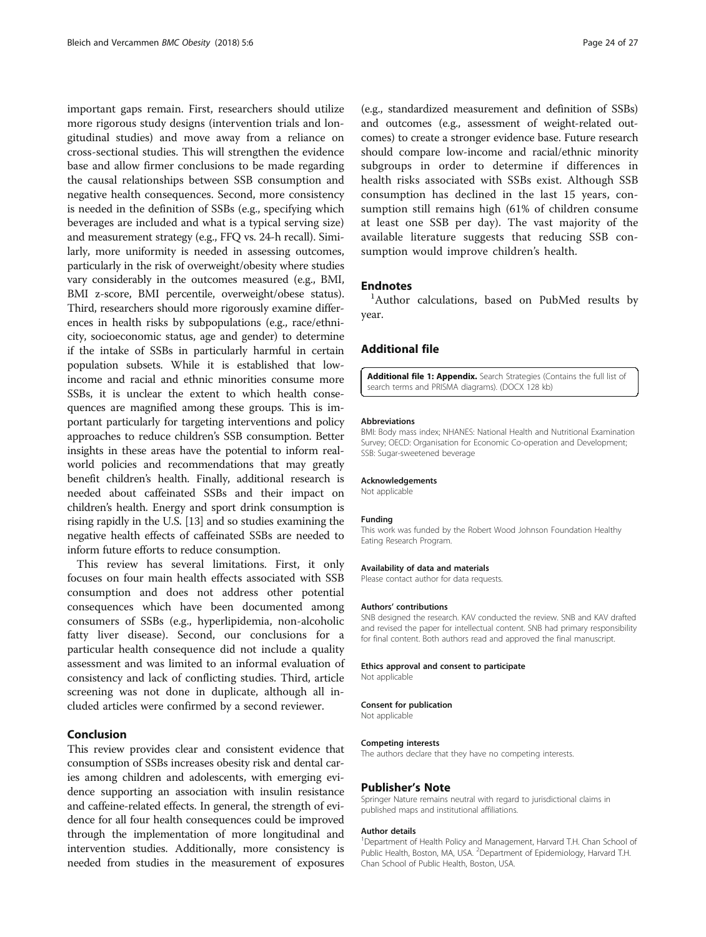<span id="page-23-0"></span>important gaps remain. First, researchers should utilize more rigorous study designs (intervention trials and longitudinal studies) and move away from a reliance on cross-sectional studies. This will strengthen the evidence base and allow firmer conclusions to be made regarding the causal relationships between SSB consumption and negative health consequences. Second, more consistency is needed in the definition of SSBs (e.g., specifying which beverages are included and what is a typical serving size) and measurement strategy (e.g., FFQ vs. 24-h recall). Similarly, more uniformity is needed in assessing outcomes, particularly in the risk of overweight/obesity where studies vary considerably in the outcomes measured (e.g., BMI, BMI z-score, BMI percentile, overweight/obese status). Third, researchers should more rigorously examine differences in health risks by subpopulations (e.g., race/ethnicity, socioeconomic status, age and gender) to determine if the intake of SSBs in particularly harmful in certain population subsets. While it is established that lowincome and racial and ethnic minorities consume more SSBs, it is unclear the extent to which health consequences are magnified among these groups. This is important particularly for targeting interventions and policy approaches to reduce children's SSB consumption. Better insights in these areas have the potential to inform realworld policies and recommendations that may greatly benefit children's health. Finally, additional research is needed about caffeinated SSBs and their impact on children's health. Energy and sport drink consumption is rising rapidly in the U.S. [\[13\]](#page-24-0) and so studies examining the negative health effects of caffeinated SSBs are needed to inform future efforts to reduce consumption.

This review has several limitations. First, it only focuses on four main health effects associated with SSB consumption and does not address other potential consequences which have been documented among consumers of SSBs (e.g., hyperlipidemia, non-alcoholic fatty liver disease). Second, our conclusions for a particular health consequence did not include a quality assessment and was limited to an informal evaluation of consistency and lack of conflicting studies. Third, article screening was not done in duplicate, although all included articles were confirmed by a second reviewer.

# Conclusion

This review provides clear and consistent evidence that consumption of SSBs increases obesity risk and dental caries among children and adolescents, with emerging evidence supporting an association with insulin resistance and caffeine-related effects. In general, the strength of evidence for all four health consequences could be improved through the implementation of more longitudinal and intervention studies. Additionally, more consistency is needed from studies in the measurement of exposures

(e.g., standardized measurement and definition of SSBs) and outcomes (e.g., assessment of weight-related outcomes) to create a stronger evidence base. Future research should compare low-income and racial/ethnic minority subgroups in order to determine if differences in health risks associated with SSBs exist. Although SSB consumption has declined in the last 15 years, consumption still remains high (61% of children consume at least one SSB per day). The vast majority of the available literature suggests that reducing SSB consumption would improve children's health.

# **Endnotes**

<sup>1</sup>Author calculations, based on PubMed results by year.

# Additional file

[Additional file 1: Appendix.](dx.doi.org/10.1186/s40608-017-0178-9) Search Strategies (Contains the full list of search terms and PRISMA diagrams). (DOCX 128 kb)

#### Abbreviations

BMI: Body mass index; NHANES: National Health and Nutritional Examination Survey; OECD: Organisation for Economic Co-operation and Development; SSB: Sugar-sweetened beverage

#### Acknowledgements

Not applicable

#### Funding

This work was funded by the Robert Wood Johnson Foundation Healthy Eating Research Program.

#### Availability of data and materials

Please contact author for data requests.

#### Authors' contributions

SNB designed the research. KAV conducted the review. SNB and KAV drafted and revised the paper for intellectual content. SNB had primary responsibility for final content. Both authors read and approved the final manuscript.

#### Ethics approval and consent to participate

Not applicable

#### Consent for publication

Not applicable

#### Competing interests

The authors declare that they have no competing interests.

#### Publisher's Note

Springer Nature remains neutral with regard to jurisdictional claims in published maps and institutional affiliations.

#### Author details

<sup>1</sup>Department of Health Policy and Management, Harvard T.H. Chan School of Public Health, Boston, MA, USA. <sup>2</sup>Department of Epidemiology, Harvard T.H. Chan School of Public Health, Boston, USA.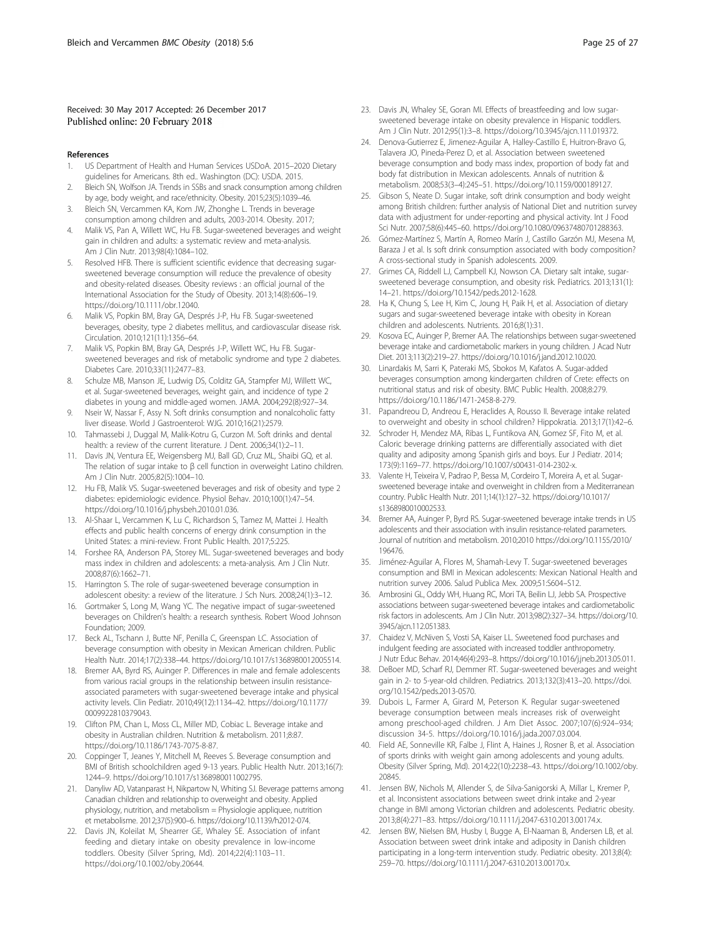#### <span id="page-24-0"></span>Received: 30 May 2017 Accepted: 26 December 2017 Published online: 20 February 2018

#### References

- 1. US Department of Health and Human Services USDoA. 2015–2020 Dietary guidelines for Americans. 8th ed.. Washington (DC): USDA. 2015.
- 2. Bleich SN, Wolfson JA. Trends in SSBs and snack consumption among children by age, body weight, and race/ethnicity. Obesity. 2015;23(5):1039–46.
- 3. Bleich SN, Vercammen KA, Kom JW, Zhonghe L. Trends in beverage consumption among children and adults, 2003-2014. Obesity. 2017;
- 4. Malik VS, Pan A, Willett WC, Hu FB. Sugar-sweetened beverages and weight gain in children and adults: a systematic review and meta-analysis. Am J Clin Nutr. 2013;98(4):1084–102.
- 5. Resolved HFB. There is sufficient scientific evidence that decreasing sugarsweetened beverage consumption will reduce the prevalence of obesity and obesity-related diseases. Obesity reviews : an official journal of the International Association for the Study of Obesity. 2013;14(8):606–19. [https://doi.org/10.1111/obr.12040.](http://dx.doi.org/10.1111/obr.12040.)
- 6. Malik VS, Popkin BM, Bray GA, Després J-P, Hu FB. Sugar-sweetened beverages, obesity, type 2 diabetes mellitus, and cardiovascular disease risk. Circulation. 2010;121(11):1356–64.
- Malik VS, Popkin BM, Bray GA, Després J-P, Willett WC, Hu FB. Sugarsweetened beverages and risk of metabolic syndrome and type 2 diabetes. Diabetes Care. 2010;33(11):2477–83.
- Schulze MB, Manson JE, Ludwig DS, Colditz GA, Stampfer MJ, Willett WC, et al. Sugar-sweetened beverages, weight gain, and incidence of type 2 diabetes in young and middle-aged women. JAMA. 2004;292(8):927–34.
- 9. Nseir W, Nassar F, Assy N. Soft drinks consumption and nonalcoholic fatty liver disease. World J Gastroenterol: WJG. 2010;16(21):2579.
- 10. Tahmassebi J, Duggal M, Malik-Kotru G, Curzon M. Soft drinks and dental health: a review of the current literature. J Dent. 2006;34(1):2–11.
- 11. Davis JN, Ventura EE, Weigensberg MJ, Ball GD, Cruz ML, Shaibi GQ, et al. The relation of sugar intake to β cell function in overweight Latino children. Am J Clin Nutr. 2005;82(5):1004–10.
- 12. Hu FB, Malik VS. Sugar-sweetened beverages and risk of obesity and type 2 diabetes: epidemiologic evidence. Physiol Behav. 2010;100(1):47–54. [https://doi.org/10.1016/j.physbeh.2010.01.036](http://dx.doi.org/10.1016/j.physbeh.2010.01.036).
- 13. Al-Shaar L, Vercammen K, Lu C, Richardson S, Tamez M, Mattei J. Health effects and public health concerns of energy drink consumption in the United States: a mini-review. Front Public Health. 2017;5:225.
- 14. Forshee RA, Anderson PA, Storey ML. Sugar-sweetened beverages and body mass index in children and adolescents: a meta-analysis. Am J Clin Nutr. 2008;87(6):1662–71.
- 15. Harrington S. The role of sugar-sweetened beverage consumption in adolescent obesity: a review of the literature. J Sch Nurs. 2008;24(1):3–12.
- 16. Gortmaker S, Long M, Wang YC. The negative impact of sugar-sweetened beverages on Children's health: a research synthesis. Robert Wood Johnson Foundation; 2009.
- 17. Beck AL, Tschann J, Butte NF, Penilla C, Greenspan LC. Association of beverage consumption with obesity in Mexican American children. Public Health Nutr. 2014;17(2):338–44. [https://doi.org/10.1017/s1368980012005514](http://dx.doi.org/10.1017/s1368980012005514).
- 18. Bremer AA, Byrd RS, Auinger P. Differences in male and female adolescents from various racial groups in the relationship between insulin resistanceassociated parameters with sugar-sweetened beverage intake and physical activity levels. Clin Pediatr. 2010;49(12):1134–42. [https://doi.org/10.1177/](http://dx.doi.org/10.1177/0009922810379043) [0009922810379043](http://dx.doi.org/10.1177/0009922810379043).
- 19. Clifton PM, Chan L, Moss CL, Miller MD, Cobiac L. Beverage intake and obesity in Australian children. Nutrition & metabolism. 2011;8:87. [https://doi.org/10.1186/1743-7075-8-87.](http://dx.doi.org/10.1186/1743-7075-8-87)
- 20. Coppinger T, Jeanes Y, Mitchell M, Reeves S. Beverage consumption and BMI of British schoolchildren aged 9-13 years. Public Health Nutr. 2013;16(7): 1244–9. [https://doi.org/10.1017/s1368980011002795](http://dx.doi.org/10.1017/s1368980011002795).
- 21. Danyliw AD, Vatanparast H, Nikpartow N, Whiting SJ. Beverage patterns among Canadian children and relationship to overweight and obesity. Applied physiology, nutrition, and metabolism = Physiologie appliquee, nutrition et metabolisme. 2012;37(5):900–6. [https://doi.org/10.1139/h2012-074.](http://dx.doi.org/10.1139/h2012-074.)
- 22. Davis JN, Koleilat M, Shearrer GE, Whaley SE. Association of infant feeding and dietary intake on obesity prevalence in low-income toddlers. Obesity (Silver Spring, Md). 2014;22(4):1103–11. [https://doi.org/10.1002/oby.20644.](http://dx.doi.org/10.1002/oby.20644.)
- 23. Davis JN, Whaley SE, Goran MI. Effects of breastfeeding and low sugarsweetened beverage intake on obesity prevalence in Hispanic toddlers. Am J Clin Nutr. 2012;95(1):3–8. [https://doi.org/10.3945/ajcn.111.019372.](http://dx.doi.org/10.3945/ajcn.111.019372)
- 24. Denova-Gutierrez E, Jimenez-Aguilar A, Halley-Castillo E, Huitron-Bravo G, Talavera JO, Pineda-Perez D, et al. Association between sweetened beverage consumption and body mass index, proportion of body fat and body fat distribution in Mexican adolescents. Annals of nutrition & metabolism. 2008;53(3–4):245–51. [https://doi.org/10.1159/000189127](http://dx.doi.org/10.1159/000189127).
- 25. Gibson S, Neate D. Sugar intake, soft drink consumption and body weight among British children: further analysis of National Diet and nutrition survey data with adjustment for under-reporting and physical activity. Int J Food Sci Nutr. 2007;58(6):445–60. [https://doi.org/10.1080/09637480701288363.](http://dx.doi.org/10.1080/09637480701288363)
- 26. Gómez-Martínez S, Martín A, Romeo Marín J, Castillo Garzón MJ, Mesena M, Baraza J et al. Is soft drink consumption associated with body composition? A cross-sectional study in Spanish adolescents. 2009.
- 27. Grimes CA, Riddell LJ, Campbell KJ, Nowson CA. Dietary salt intake, sugarsweetened beverage consumption, and obesity risk. Pediatrics. 2013;131(1): 14–21. [https://doi.org/10.1542/peds.2012-1628.](http://dx.doi.org/10.1542/peds.2012-1628)
- 28. Ha K, Chung S, Lee H, Kim C, Joung H, Paik H, et al. Association of dietary sugars and sugar-sweetened beverage intake with obesity in Korean children and adolescents. Nutrients. 2016;8(1):31.
- 29. Kosova EC, Auinger P, Bremer AA. The relationships between sugar-sweetened beverage intake and cardiometabolic markers in young children. J Acad Nutr Diet. 2013;113(2):219–27. [https://doi.org/10.1016/j.jand.2012.10.020](http://dx.doi.org/10.1016/j.jand.2012.10.020).
- 30. Linardakis M, Sarri K, Pateraki MS, Sbokos M, Kafatos A. Sugar-added beverages consumption among kindergarten children of Crete: effects on nutritional status and risk of obesity. BMC Public Health. 2008;8:279. [https://doi.org/10.1186/1471-2458-8-279](http://dx.doi.org/10.1186/1471-2458-8-279).
- 31. Papandreou D, Andreou E, Heraclides A, Rousso II. Beverage intake related to overweight and obesity in school children? Hippokratia. 2013;17(1):42–6.
- 32. Schroder H, Mendez MA, Ribas L, Funtikova AN, Gomez SF, Fito M, et al. Caloric beverage drinking patterns are differentially associated with diet quality and adiposity among Spanish girls and boys. Eur J Pediatr. 2014; 173(9):1169–77. [https://doi.org/10.1007/s00431-014-2302-x.](http://dx.doi.org/10.1007/s00431-014-2302-x)
- 33. Valente H, Teixeira V, Padrao P, Bessa M, Cordeiro T, Moreira A, et al. Sugarsweetened beverage intake and overweight in children from a Mediterranean country. Public Health Nutr. 2011;14(1):127–32. [https://doi.org/10.1017/](http://dx.doi.org/10.1017/s1368980010002533) [s1368980010002533](http://dx.doi.org/10.1017/s1368980010002533).
- 34. Bremer AA, Auinger P, Byrd RS. Sugar-sweetened beverage intake trends in US adolescents and their association with insulin resistance-related parameters. Journal of nutrition and metabolism. 2010;2010 [https://doi.org/10.1155/2010/](http://dx.doi.org/10.1155/2010/196476) [196476.](http://dx.doi.org/10.1155/2010/196476)
- 35. Jiménez-Aguilar A, Flores M, Shamah-Levy T. Sugar-sweetened beverages consumption and BMI in Mexican adolescents: Mexican National Health and nutrition survey 2006. Salud Publica Mex. 2009;51:S604–S12.
- 36. Ambrosini GL, Oddy WH, Huang RC, Mori TA, Beilin LJ, Jebb SA. Prospective associations between sugar-sweetened beverage intakes and cardiometabolic risk factors in adolescents. Am J Clin Nutr. 2013;98(2):327–34. [https://doi.org/10.](http://dx.doi.org/10.3945/ajcn.112.051383) [3945/ajcn.112.051383.](http://dx.doi.org/10.3945/ajcn.112.051383)
- 37. Chaidez V, McNiven S, Vosti SA, Kaiser LL. Sweetened food purchases and indulgent feeding are associated with increased toddler anthropometry. J Nutr Educ Behav. 2014;46(4):293–8. [https://doi.org/10.1016/j.jneb.2013.05.011.](http://dx.doi.org/10.1016/j.jneb.2013.05.011)
- 38. DeBoer MD, Scharf RJ, Demmer RT. Sugar-sweetened beverages and weight gain in 2- to 5-year-old children. Pediatrics. 2013;132(3):413–20. [https://doi.](http://dx.doi.org/10.1542/peds.2013-0570) [org/10.1542/peds.2013-0570](http://dx.doi.org/10.1542/peds.2013-0570).
- 39. Dubois L, Farmer A, Girard M, Peterson K. Regular sugar-sweetened beverage consumption between meals increases risk of overweight among preschool-aged children. J Am Diet Assoc. 2007;107(6):924–934; discussion 34-5. [https://doi.org/10.1016/j.jada.2007.03.004](http://dx.doi.org/10.1016/j.jada.2007.03.004).
- 40. Field AE, Sonneville KR, Falbe J, Flint A, Haines J, Rosner B, et al. Association of sports drinks with weight gain among adolescents and young adults. Obesity (Silver Spring, Md). 2014;22(10):2238–43. [https://doi.org/10.1002/oby.](http://dx.doi.org/10.1002/oby.20845.) [20845.](http://dx.doi.org/10.1002/oby.20845.)
- 41. Jensen BW, Nichols M, Allender S, de Silva-Sanigorski A, Millar L, Kremer P, et al. Inconsistent associations between sweet drink intake and 2-yea change in BMI among Victorian children and adolescents. Pediatric obesity. 2013;8(4):271–83. [https://doi.org/10.1111/j.2047-6310.2013.00174.x.](http://dx.doi.org/10.1111/j.2047-6310.2013.00174.x)
- 42. Jensen BW, Nielsen BM, Husby I, Bugge A, El-Naaman B, Andersen LB, et al. Association between sweet drink intake and adiposity in Danish children participating in a long-term intervention study. Pediatric obesity. 2013;8(4): 259–70. [https://doi.org/10.1111/j.2047-6310.2013.00170.x](http://dx.doi.org/10.1111/j.2047-6310.2013.00170.x).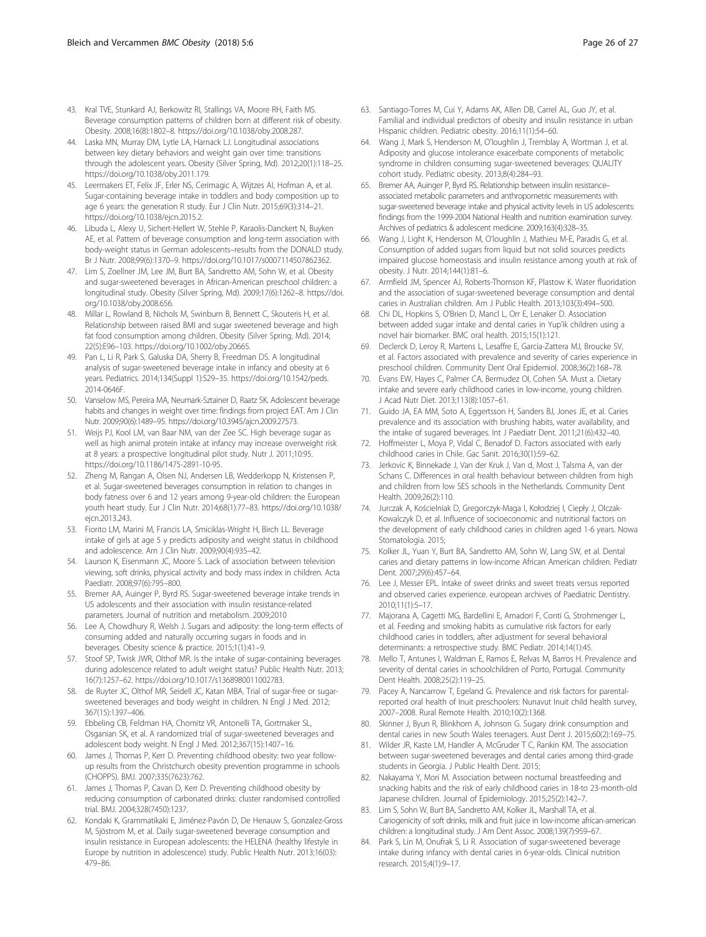- <span id="page-25-0"></span>43. Kral TVE, Stunkard AJ, Berkowitz RI, Stallings VA, Moore RH, Faith MS. Beverage consumption patterns of children born at different risk of obesity. Obesity. 2008;16(8):1802–8. [https://doi.org/10.1038/oby.2008.287.](http://dx.doi.org/10.1038/oby.2008.287)
- 44. Laska MN, Murray DM, Lytle LA, Harnack LJ. Longitudinal associations between key dietary behaviors and weight gain over time: transitions through the adolescent years. Obesity (Silver Spring, Md). 2012;20(1):118–25. [https://doi.org/10.1038/oby.2011.179.](http://dx.doi.org/10.1038/oby.2011.179.)
- 45. Leermakers ET, Felix JF, Erler NS, Cerimagic A, Wijtzes AI, Hofman A, et al. Sugar-containing beverage intake in toddlers and body composition up to age 6 years: the generation R study. Eur J Clin Nutr. 2015;69(3):314–21. [https://doi.org/10.1038/ejcn.2015.2](http://dx.doi.org/10.1038/ejcn.2015.2).
- 46. Libuda L, Alexy U, Sichert-Hellert W, Stehle P, Karaolis-Danckert N, Buyken AE, et al. Pattern of beverage consumption and long-term association with body-weight status in German adolescents–results from the DONALD study. Br J Nutr. 2008;99(6):1370–9. [https://doi.org/10.1017/s0007114507862362.](http://dx.doi.org/10.1017/s0007114507862362.)
- 47. Lim S, Zoellner JM, Lee JM, Burt BA, Sandretto AM, Sohn W, et al. Obesity and sugar-sweetened beverages in African-American preschool children: a longitudinal study. Obesity (Silver Spring, Md). 2009;17(6):1262–8. [https://doi.](http://dx.doi.org/10.1038/oby.2008.656.) [org/10.1038/oby.2008.656.](http://dx.doi.org/10.1038/oby.2008.656.)
- 48. Millar L, Rowland B, Nichols M, Swinburn B, Bennett C, Skouteris H, et al. Relationship between raised BMI and sugar sweetened beverage and high fat food consumption among children. Obesity (Silver Spring, Md). 2014; 22(5):E96–103. [https://doi.org/10.1002/oby.20665.](http://dx.doi.org/10.1002/oby.20665.)
- 49. Pan L, Li R, Park S, Galuska DA, Sherry B, Freedman DS. A longitudinal analysis of sugar-sweetened beverage intake in infancy and obesity at 6 years. Pediatrics. 2014;134(Suppl 1):S29–35. [https://doi.org/10.1542/peds.](http://dx.doi.org/10.1542/peds.2014-0646F.) [2014-0646F.](http://dx.doi.org/10.1542/peds.2014-0646F.)
- 50. Vanselow MS, Pereira MA, Neumark-Sztainer D, Raatz SK. Adolescent beverage habits and changes in weight over time: findings from project EAT. Am J Clin Nutr. 2009;90(6):1489–95. [https://doi.org/10.3945/ajcn.2009.27573.](http://dx.doi.org/10.3945/ajcn.2009.27573)
- 51. Weijs PJ, Kool LM, van Baar NM, van der Zee SC. High beverage sugar as well as high animal protein intake at infancy may increase overweight risk at 8 years: a prospective longitudinal pilot study. Nutr J. 2011;10:95. [https://doi.org/10.1186/1475-2891-10-95](http://dx.doi.org/10.1186/1475-2891-10-95).
- 52. Zheng M, Rangan A, Olsen NJ, Andersen LB, Wedderkopp N, Kristensen P, et al. Sugar-sweetened beverages consumption in relation to changes in body fatness over 6 and 12 years among 9-year-old children: the European youth heart study. Eur J Clin Nutr. 2014;68(1):77–83. [https://doi.org/10.1038/](http://dx.doi.org/10.1038/ejcn.2013.243) [ejcn.2013.243.](http://dx.doi.org/10.1038/ejcn.2013.243)
- 53. Fiorito LM, Marini M, Francis LA, Smiciklas-Wright H, Birch LL. Beverage intake of girls at age 5 y predicts adiposity and weight status in childhood and adolescence. Am J Clin Nutr. 2009;90(4):935–42.
- 54. Laurson K, Eisenmann JC, Moore S. Lack of association between television viewing, soft drinks, physical activity and body mass index in children. Acta Paediatr. 2008;97(6):795–800.
- 55. Bremer AA, Auinger P, Byrd RS. Sugar-sweetened beverage intake trends in US adolescents and their association with insulin resistance-related parameters. Journal of nutrition and metabolism. 2009;2010
- 56. Lee A, Chowdhury R, Welsh J. Sugars and adiposity: the long-term effects of consuming added and naturally occurring sugars in foods and in beverages. Obesity science & practice. 2015;1(1):41–9.
- 57. Stoof SP, Twisk JWR, Olthof MR. Is the intake of sugar-containing beverages during adolescence related to adult weight status? Public Health Nutr. 2013; 16(7):1257–62. [https://doi.org/10.1017/s1368980011002783.](http://dx.doi.org/10.1017/s1368980011002783)
- 58. de Ruyter JC, Olthof MR, Seidell JC, Katan MBA. Trial of sugar-free or sugarsweetened beverages and body weight in children. N Engl J Med. 2012; 367(15):1397–406.
- 59. Ebbeling CB, Feldman HA, Chomitz VR, Antonelli TA, Gortmaker SL, Osganian SK, et al. A randomized trial of sugar-sweetened beverages and adolescent body weight. N Engl J Med. 2012;367(15):1407–16.
- 60. James J, Thomas P, Kerr D. Preventing childhood obesity: two year followup results from the Christchurch obesity prevention programme in schools (CHOPPS). BMJ. 2007;335(7623):762.
- 61. James J, Thomas P, Cavan D, Kerr D. Preventing childhood obesity by reducing consumption of carbonated drinks: cluster randomised controlled trial. BMJ. 2004;328(7450):1237.
- 62. Kondaki K, Grammatikaki E, Jiménez-Pavón D, De Henauw S, Gonzalez-Gross M, Sjöstrom M, et al. Daily sugar-sweetened beverage consumption and insulin resistance in European adolescents: the HELENA (healthy lifestyle in Europe by nutrition in adolescence) study. Public Health Nutr. 2013;16(03): 479–86.
- 63. Santiago-Torres M, Cui Y, Adams AK, Allen DB, Carrel AL, Guo JY, et al. Familial and individual predictors of obesity and insulin resistance in urban Hispanic children. Pediatric obesity. 2016;11(1):54–60.
- 64. Wang J, Mark S, Henderson M, O'loughlin J, Tremblay A, Wortman J, et al. Adiposity and glucose intolerance exacerbate components of metabolic syndrome in children consuming sugar-sweetened beverages: QUALITY cohort study. Pediatric obesity. 2013;8(4):284–93.
- 65. Bremer AA, Auinger P, Byrd RS. Relationship between insulin resistance– associated metabolic parameters and anthropometric measurements with sugar-sweetened beverage intake and physical activity levels in US adolescents: findings from the 1999-2004 National Health and nutrition examination survey. Archives of pediatrics & adolescent medicine. 2009;163(4):328–35.
- 66. Wang J, Light K, Henderson M, O'loughlin J, Mathieu M-E, Paradis G, et al. Consumption of added sugars from liquid but not solid sources predicts impaired glucose homeostasis and insulin resistance among youth at risk of obesity. J Nutr. 2014;144(1):81–6.
- 67. Armfield JM, Spencer AJ, Roberts-Thomson KF, Plastow K. Water fluoridation and the association of sugar-sweetened beverage consumption and dental caries in Australian children. Am J Public Health. 2013;103(3):494–500.
- 68. Chi DL, Hopkins S, O'Brien D, Mancl L, Orr E, Lenaker D. Association between added sugar intake and dental caries in Yup'ik children using a novel hair biomarker. BMC oral health. 2015;15(1):121.
- 69. Declerck D, Leroy R, Martens L, Lesaffre E, Garcia-Zattera MJ, Broucke SV, et al. Factors associated with prevalence and severity of caries experience in preschool children. Community Dent Oral Epidemiol. 2008;36(2):168–78.
- 70. Evans EW, Hayes C, Palmer CA, Bermudez OI, Cohen SA. Must a. Dietary intake and severe early childhood caries in low-income, young children. J Acad Nutr Diet. 2013;113(8):1057–61.
- 71. Guido JA, EA MM, Soto A, Eggertsson H, Sanders BJ, Jones JE, et al. Caries prevalence and its association with brushing habits, water availability, and the intake of sugared beverages. Int J Paediatr Dent. 2011;21(6):432–40.
- 72. Hoffmeister L, Moya P, Vidal C, Benadof D. Factors associated with early childhood caries in Chile. Gac Sanit. 2016;30(1):59–62.
- 73. Jerkovic K, Binnekade J, Van der Kruk J, Van d, Most J, Talsma A, van der Schans C. Differences in oral health behaviour between children from high and children from low SES schools in the Netherlands. Community Dent Health. 2009;26(2):110.
- 74. Jurczak A, Kościelniak D, Gregorczyk-Maga I, Kołodziej I, Ciepły J, Olczak-Kowalczyk D, et al. Influence of socioeconomic and nutritional factors on the development of early childhood caries in children aged 1-6 years. Nowa Stomatologia. 2015:
- 75. Kolker JL, Yuan Y, Burt BA, Sandretto AM, Sohn W, Lang SW, et al. Dental caries and dietary patterns in low-income African American children. Pediatr Dent. 2007;29(6):457–64.
- 76. Lee J, Messer EPL. Intake of sweet drinks and sweet treats versus reported and observed caries experience. european archives of Paediatric Dentistry. 2010;11(1):5–17.
- 77. Majorana A, Cagetti MG, Bardellini E, Amadori F, Conti G, Strohmenger L, et al. Feeding and smoking habits as cumulative risk factors for early childhood caries in toddlers, after adjustment for several behavioral determinants: a retrospective study. BMC Pediatr. 2014;14(1):45.
- 78. Mello T, Antunes I, Waldman E, Ramos E, Relvas M, Barros H. Prevalence and severity of dental caries in schoolchildren of Porto, Portugal. Community Dent Health. 2008;25(2):119–25.
- 79. Pacey A, Nancarrow T, Egeland G. Prevalence and risk factors for parentalreported oral health of Inuit preschoolers: Nunavut Inuit child health survey, 2007–2008. Rural Remote Health. 2010;10(2):1368.
- 80. Skinner J, Byun R, Blinkhorn A, Johnson G. Sugary drink consumption and dental caries in new South Wales teenagers. Aust Dent J. 2015;60(2):169–75.
- 81. Wilder JR, Kaste LM, Handler A, McGruder T C, Rankin KM. The association between sugar-sweetened beverages and dental caries among third-grade students in Georgia. J Public Health Dent. 2015;
- 82. Nakayama Y, Mori M. Association between nocturnal breastfeeding and snacking habits and the risk of early childhood caries in 18-to 23-month-old Japanese children. Journal of Epidemiology. 2015;25(2):142–7.
- 83. Lim S, Sohn W, Burt BA, Sandretto AM, Kolker JL, Marshall TA, et al. Cariogenicity of soft drinks, milk and fruit juice in low-income african-american children: a longitudinal study. J Am Dent Assoc. 2008;139(7):959–67.
- 84. Park S, Lin M, Onufrak S, Li R. Association of sugar-sweetened beverage intake during infancy with dental caries in 6-year-olds. Clinical nutrition research. 2015;4(1):9–17.